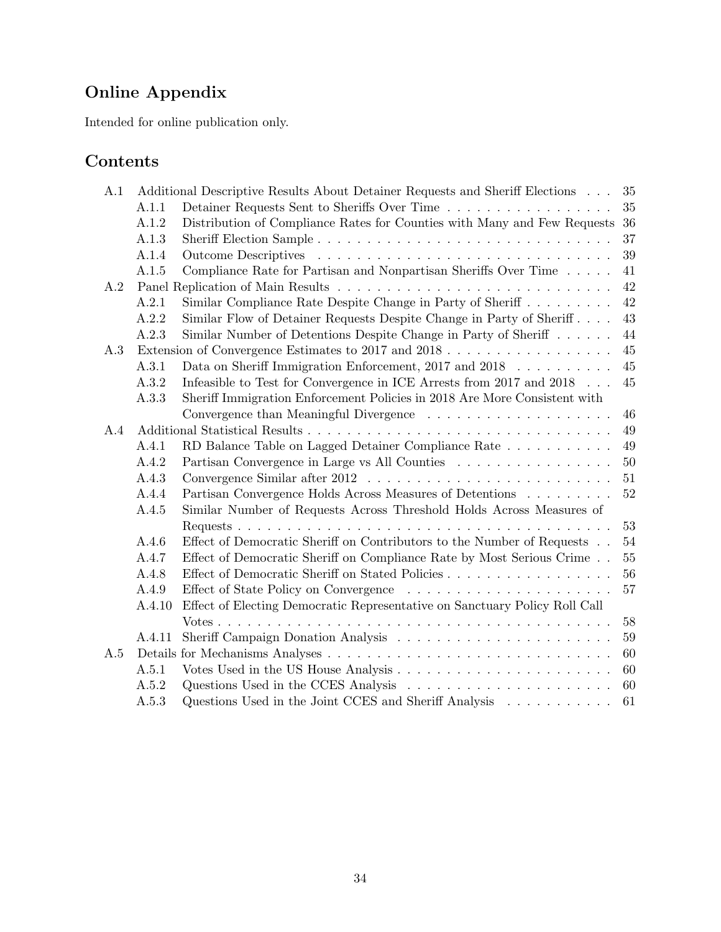# Online Appendix

Intended for online publication only.

# Contents

| A.1 |        | Additional Descriptive Results About Detainer Requests and Sheriff Elections | 35     |
|-----|--------|------------------------------------------------------------------------------|--------|
|     | A.1.1  |                                                                              | 35     |
|     | A.1.2  | Distribution of Compliance Rates for Counties with Many and Few Requests     | 36     |
|     | A.1.3  |                                                                              | 37     |
|     | A.1.4  |                                                                              | 39     |
|     | A.1.5  | Compliance Rate for Partisan and Nonpartisan Sheriffs Over Time              | 41     |
| A.2 |        |                                                                              | 42     |
|     | A.2.1  | Similar Compliance Rate Despite Change in Party of Sheriff $\dots \dots$     | 42     |
|     | A.2.2  | Similar Flow of Detainer Requests Despite Change in Party of Sheriff         | 43     |
|     | A.2.3  | Similar Number of Detentions Despite Change in Party of Sheriff              | 44     |
| A.3 |        |                                                                              | 45     |
|     | A.3.1  | Data on Sheriff Immigration Enforcement, 2017 and 2018                       | 45     |
|     | A.3.2  | Infeasible to Test for Convergence in ICE Arrests from 2017 and 2018         | 45     |
|     | A.3.3  | Sheriff Immigration Enforcement Policies in 2018 Are More Consistent with    |        |
|     |        |                                                                              | 46     |
| A.4 |        |                                                                              | 49     |
|     | A.4.1  | RD Balance Table on Lagged Detainer Compliance Rate                          | 49     |
|     | A.4.2  | Partisan Convergence in Large vs All Counties                                | $50\,$ |
|     | A.4.3  |                                                                              | 51     |
|     | A.4.4  | Partisan Convergence Holds Across Measures of Detentions                     | 52     |
|     | A.4.5  | Similar Number of Requests Across Threshold Holds Across Measures of         |        |
|     |        |                                                                              | 53     |
|     | A.4.6  | Effect of Democratic Sheriff on Contributors to the Number of Requests       | 54     |
|     | A.4.7  | Effect of Democratic Sheriff on Compliance Rate by Most Serious Crime        | 55     |
|     | A.4.8  | Effect of Democratic Sheriff on Stated Policies                              | 56     |
|     | A.4.9  |                                                                              | 57     |
|     | A.4.10 | Effect of Electing Democratic Representative on Sanctuary Policy Roll Call   |        |
|     |        |                                                                              | 58     |
|     | A.4.11 |                                                                              | 59     |
| A.5 |        |                                                                              | 60     |
|     | A.5.1  |                                                                              | 60     |
|     | A.5.2  | Questions Used in the CCES Analysis                                          | 60     |
|     | A.5.3  | Questions Used in the Joint CCES and Sheriff Analysis                        | 61     |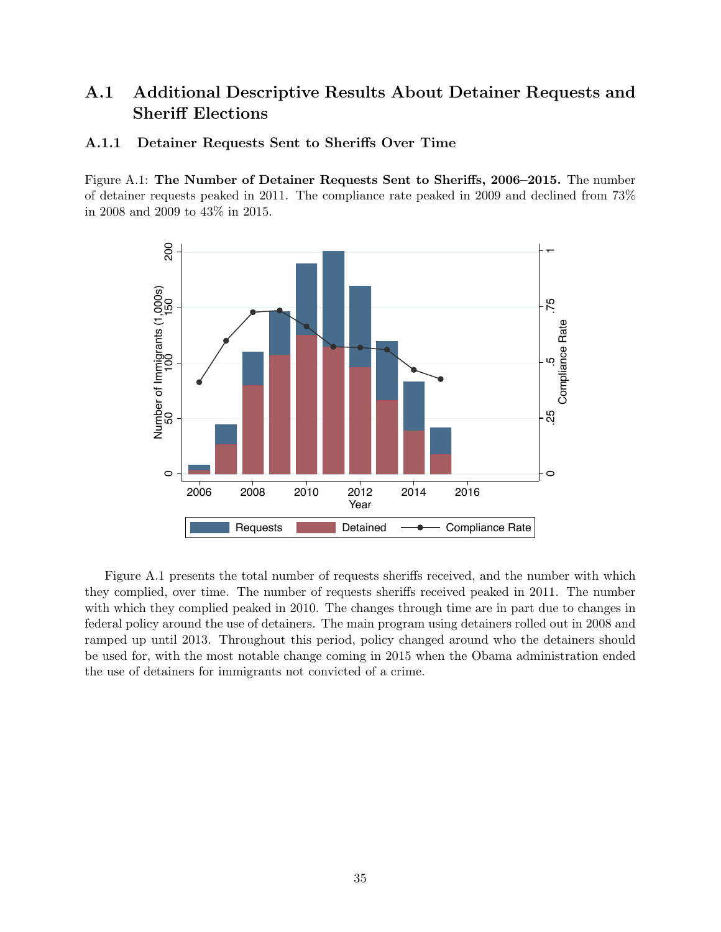# A.1 Additional Descriptive Results About Detainer Requests and Sheriff Elections

#### A.1.1 Detainer Requests Sent to Sheriffs Over Time

Figure A.1: The Number of Detainer Requests Sent to Sheriffs, 2006–2015. The number of detainer requests peaked in 2011. The compliance rate peaked in 2009 and declined from 73% in 2008 and 2009 to 43% in 2015.



Figure A.1 presents the total number of requests sheriffs received, and the number with which they complied, over time. The number of requests sheriffs received peaked in 2011. The number with which they complied peaked in 2010. The changes through time are in part due to changes in federal policy around the use of detainers. The main program using detainers rolled out in 2008 and ramped up until 2013. Throughout this period, policy changed around who the detainers should be used for, with the most notable change coming in 2015 when the Obama administration ended the use of detainers for immigrants not convicted of a crime.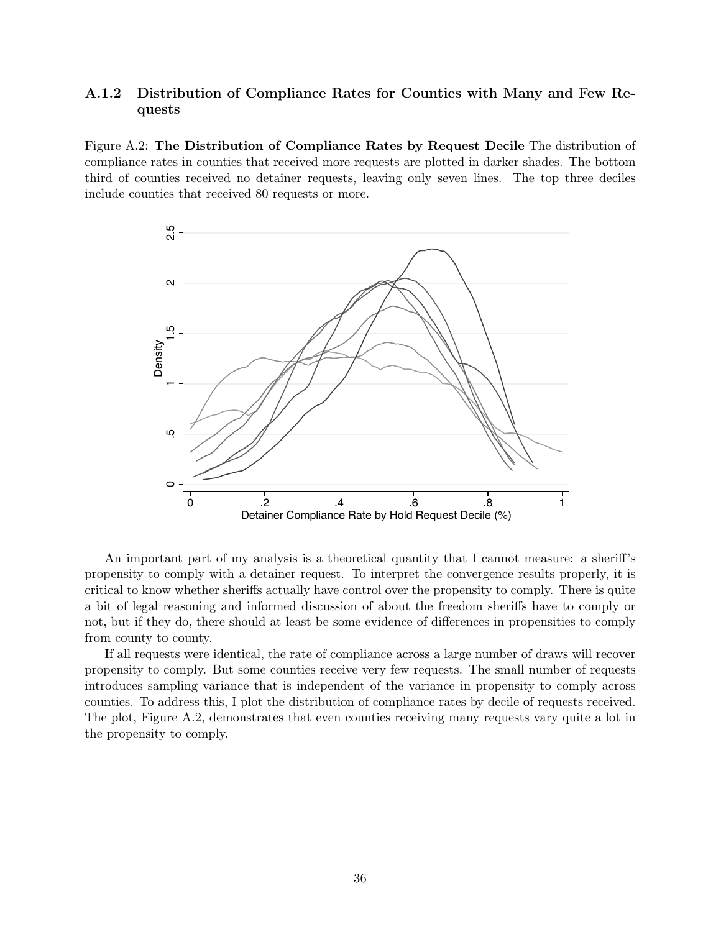#### A.1.2 Distribution of Compliance Rates for Counties with Many and Few Requests

Figure A.2: The Distribution of Compliance Rates by Request Decile The distribution of compliance rates in counties that received more requests are plotted in darker shades. The bottom third of counties received no detainer requests, leaving only seven lines. The top three deciles include counties that received 80 requests or more.



An important part of my analysis is a theoretical quantity that I cannot measure: a sheriff's propensity to comply with a detainer request. To interpret the convergence results properly, it is critical to know whether sheriffs actually have control over the propensity to comply. There is quite a bit of legal reasoning and informed discussion of about the freedom sheriffs have to comply or not, but if they do, there should at least be some evidence of differences in propensities to comply from county to county.

If all requests were identical, the rate of compliance across a large number of draws will recover propensity to comply. But some counties receive very few requests. The small number of requests introduces sampling variance that is independent of the variance in propensity to comply across counties. To address this, I plot the distribution of compliance rates by decile of requests received. The plot, Figure A.2, demonstrates that even counties receiving many requests vary quite a lot in the propensity to comply.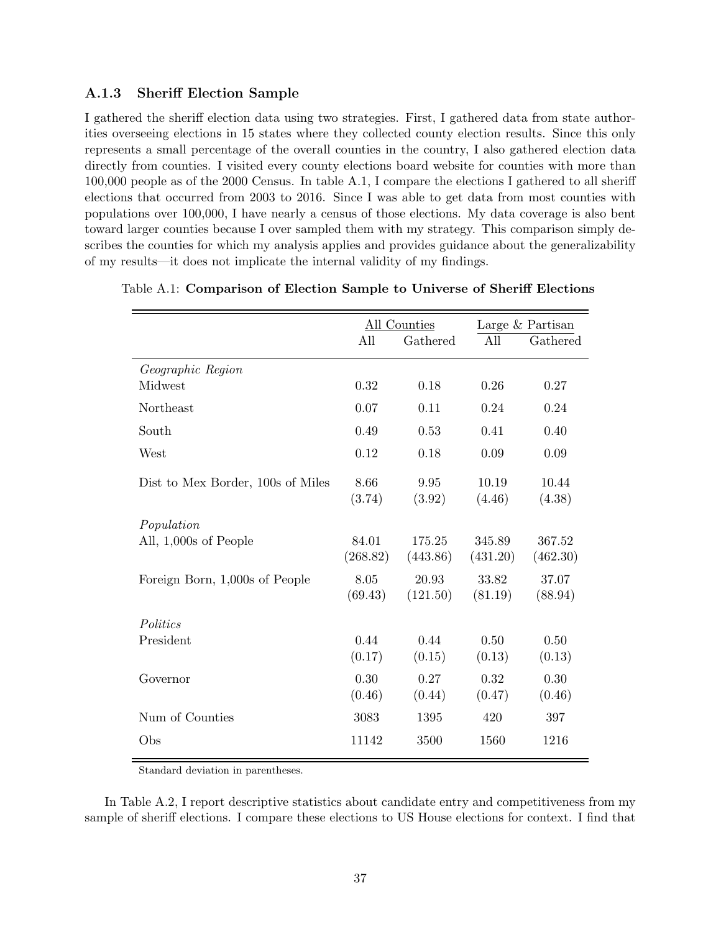#### A.1.3 Sheriff Election Sample

I gathered the sheriff election data using two strategies. First, I gathered data from state authorities overseeing elections in 15 states where they collected county election results. Since this only represents a small percentage of the overall counties in the country, I also gathered election data directly from counties. I visited every county elections board website for counties with more than  $100,000$  people as of the 2000 Census. In table A.1, I compare the elections I gathered to all sheriff elections that occurred from 2003 to 2016. Since I was able to get data from most counties with populations over 100,000, I have nearly a census of those elections. My data coverage is also bent toward larger counties because I over sampled them with my strategy. This comparison simply describes the counties for which my analysis applies and provides guidance about the generalizability of my results—it does not implicate the internal validity of my findings.

|                                   |                   | All Counties       |                    | Large & Partisan   |
|-----------------------------------|-------------------|--------------------|--------------------|--------------------|
|                                   | All               | Gathered           | All                | Gathered           |
| Geographic Region                 |                   |                    |                    |                    |
| Midwest                           | 0.32              | 0.18               | 0.26               | 0.27               |
| Northeast                         | 0.07              | 0.11               | 0.24               | 0.24               |
| South                             | 0.49              | 0.53               | 0.41               | 0.40               |
| West                              | 0.12              | 0.18               | 0.09               | 0.09               |
| Dist to Mex Border, 100s of Miles | 8.66<br>(3.74)    | 9.95<br>(3.92)     | 10.19<br>(4.46)    | 10.44<br>(4.38)    |
| Population                        |                   |                    |                    |                    |
| All, 1,000s of People             | 84.01<br>(268.82) | 175.25<br>(443.86) | 345.89<br>(431.20) | 367.52<br>(462.30) |
| Foreign Born, 1,000s of People    | 8.05<br>(69.43)   | 20.93<br>(121.50)  | 33.82<br>(81.19)   | 37.07<br>(88.94)   |
| Politics                          |                   |                    |                    |                    |
| President                         | 0.44<br>(0.17)    | 0.44<br>(0.15)     | 0.50<br>(0.13)     | 0.50<br>(0.13)     |
| Governor                          | 0.30<br>(0.46)    | 0.27<br>(0.44)     | 0.32<br>(0.47)     | 0.30<br>(0.46)     |
| Num of Counties                   | 3083              | 1395               | 420                | 397                |
| Obs                               | 11142             | 3500               | 1560               | 1216               |

Table A.1: Comparison of Election Sample to Universe of Sheriff Elections

Standard deviation in parentheses.

In Table A.2, I report descriptive statistics about candidate entry and competitiveness from my sample of sheriff elections. I compare these elections to US House elections for context. I find that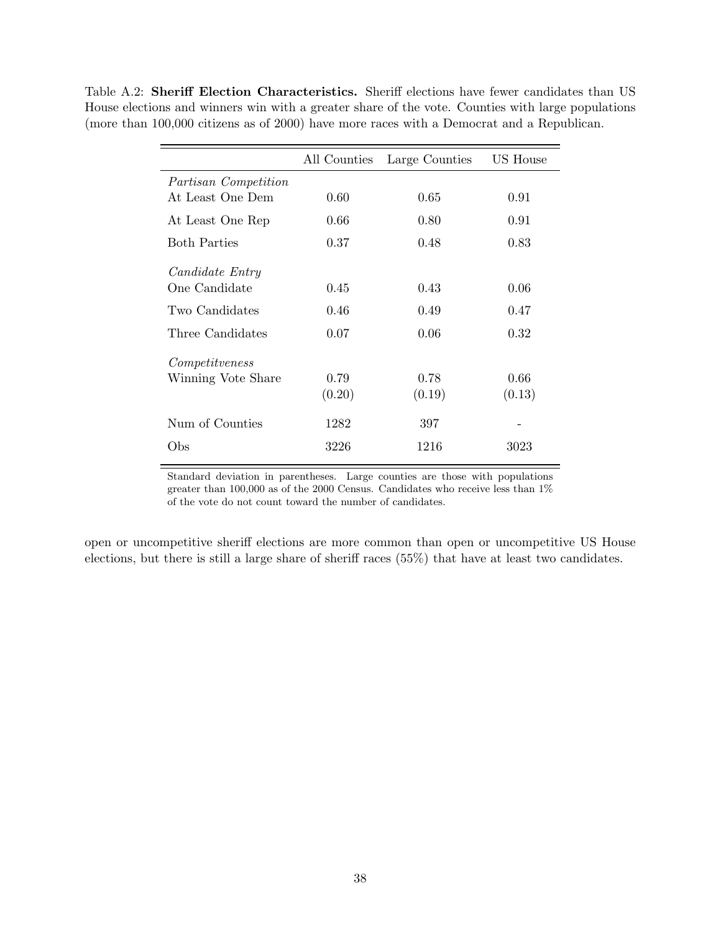Table A.2: Sheriff Election Characteristics. Sheriff elections have fewer candidates than US House elections and winners win with a greater share of the vote. Counties with large populations (more than 100,000 citizens as of 2000) have more races with a Democrat and a Republican.

|                        | All Counties | Large Counties | US House |
|------------------------|--------------|----------------|----------|
| Partisan Competition   |              |                |          |
| At Least One Dem       | 0.60         | 0.65           | 0.91     |
| At Least One Rep       | 0.66         | 0.80           | 0.91     |
| <b>Both Parties</b>    | 0.37         | 0.48           | 0.83     |
| <i>Candidate Entry</i> |              |                |          |
| One Candidate          | 0.45         | 0.43           | 0.06     |
| Two Candidates         | 0.46         | 0.49           | 0.47     |
| Three Candidates       | 0.07         | 0.06           | 0.32     |
| Competitueness         |              |                |          |
| Winning Vote Share     | 0.79         | 0.78           | 0.66     |
|                        | (0.20)       | (0.19)         | (0.13)   |
| Num of Counties        | 1282         | 397            |          |
| Obs                    | 3226         | 1216           | 3023     |

Standard deviation in parentheses. Large counties are those with populations greater than 100,000 as of the 2000 Census. Candidates who receive less than 1% of the vote do not count toward the number of candidates.

open or uncompetitive sheriff elections are more common than open or uncompetitive US House elections, but there is still a large share of sheriff races  $(55%)$  that have at least two candidates.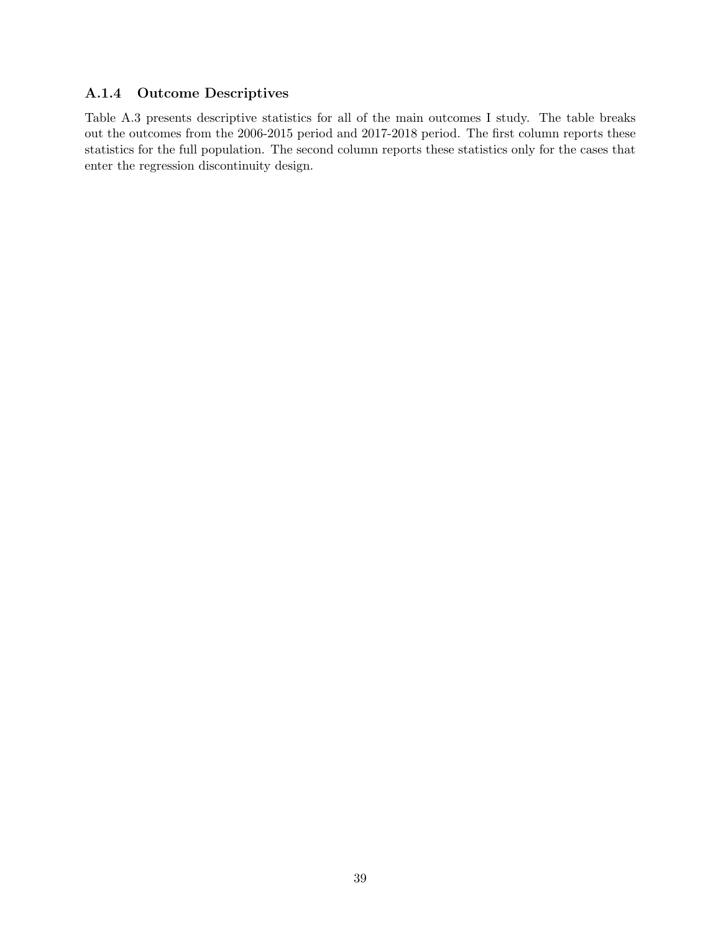### A.1.4 Outcome Descriptives

Table A.3 presents descriptive statistics for all of the main outcomes I study. The table breaks out the outcomes from the 2006-2015 period and 2017-2018 period. The first column reports these statistics for the full population. The second column reports these statistics only for the cases that enter the regression discontinuity design.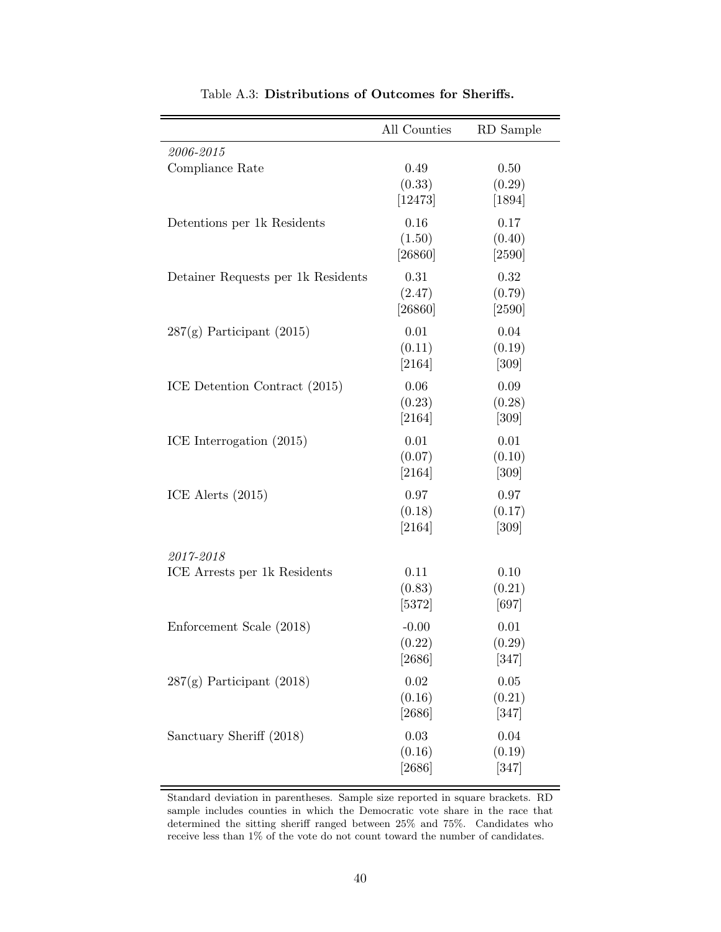|                                    | All Counties                | RD Sample                  |
|------------------------------------|-----------------------------|----------------------------|
| 2006-2015                          |                             |                            |
| Compliance Rate                    | 0.49<br>(0.33)<br>[12473]   | 0.50<br>(0.29)<br>$[1894]$ |
| Detentions per 1k Residents        | 0.16<br>(1.50)<br>[26860]   | 0.17<br>(0.40)<br>$[2590]$ |
| Detainer Requests per 1k Residents | 0.31<br>(2.47)<br>[26860]   | 0.32<br>(0.79)<br>$[2590]$ |
| $287(g)$ Participant (2015)        | 0.01<br>(0.11)<br>[2164]    | 0.04<br>(0.19)<br>$[309]$  |
| ICE Detention Contract (2015)      | 0.06<br>(0.23)<br>[2164]    | 0.09<br>(0.28)<br>$[309]$  |
| ICE Interrogation (2015)           | 0.01<br>(0.07)<br>$[2164]$  | 0.01<br>(0.10)<br>[309]    |
| ICE Alerts $(2015)$                | 0.97<br>(0.18)<br>[2164]    | 0.97<br>(0.17)<br>$[309]$  |
| 2017-2018                          |                             |                            |
| ICE Arrests per 1k Residents       | 0.11<br>(0.83)<br>[5372]    | 0.10<br>(0.21)<br>[697]    |
| Enforcement Scale (2018)           | $-0.00$<br>(0.22)<br>[2686] | 0.01<br>(0.29)<br>[347]    |
| $287(g)$ Participant (2018)        | 0.02<br>(0.16)<br>[2686]    | 0.05<br>(0.21)<br>[347]    |
| Sanctuary Sheriff (2018)           | 0.03<br>(0.16)<br>[2686]    | 0.04<br>(0.19)<br>[347]    |

Table A.3: Distributions of Outcomes for Sheriffs.

Standard deviation in parentheses. Sample size reported in square brackets. RD sample includes counties in which the Democratic vote share in the race that determined the sitting sheriff ranged between  $25\%$  and  $75\%$ . Candidates who receive less than 1% of the vote do not count toward the number of candidates.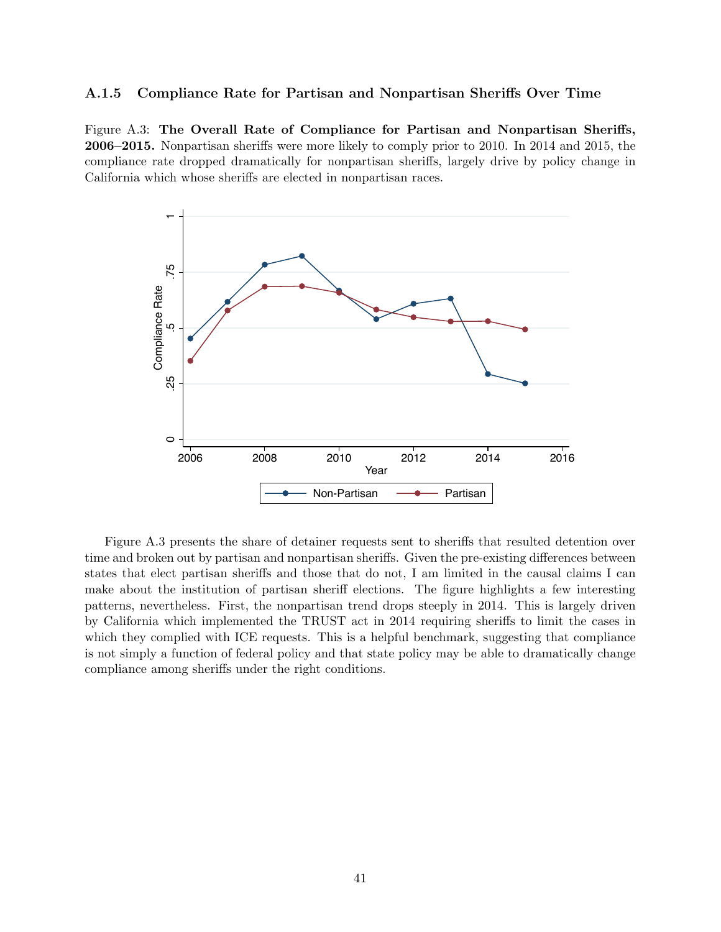#### A.1.5 Compliance Rate for Partisan and Nonpartisan Sheriffs Over Time

Figure A.3: The Overall Rate of Compliance for Partisan and Nonpartisan Sheriffs, **2006–2015.** Nonpartisan sheriffs were more likely to comply prior to 2010. In 2014 and 2015, the compliance rate dropped dramatically for nonpartisan sheriffs, largely drive by policy change in California which whose sheriffs are elected in nonpartisan races.



Figure A.3 presents the share of detainer requests sent to sheriffs that resulted detention over time and broken out by partisan and nonpartisan sheriffs. Given the pre-existing differences between states that elect partisan sheriffs and those that do not, I am limited in the causal claims I can make about the institution of partisan sheriff elections. The figure highlights a few interesting patterns, nevertheless. First, the nonpartisan trend drops steeply in 2014. This is largely driven by California which implemented the TRUST act in 2014 requiring sheriffs to limit the cases in which they complied with ICE requests. This is a helpful benchmark, suggesting that compliance is not simply a function of federal policy and that state policy may be able to dramatically change compliance among sheriffs under the right conditions.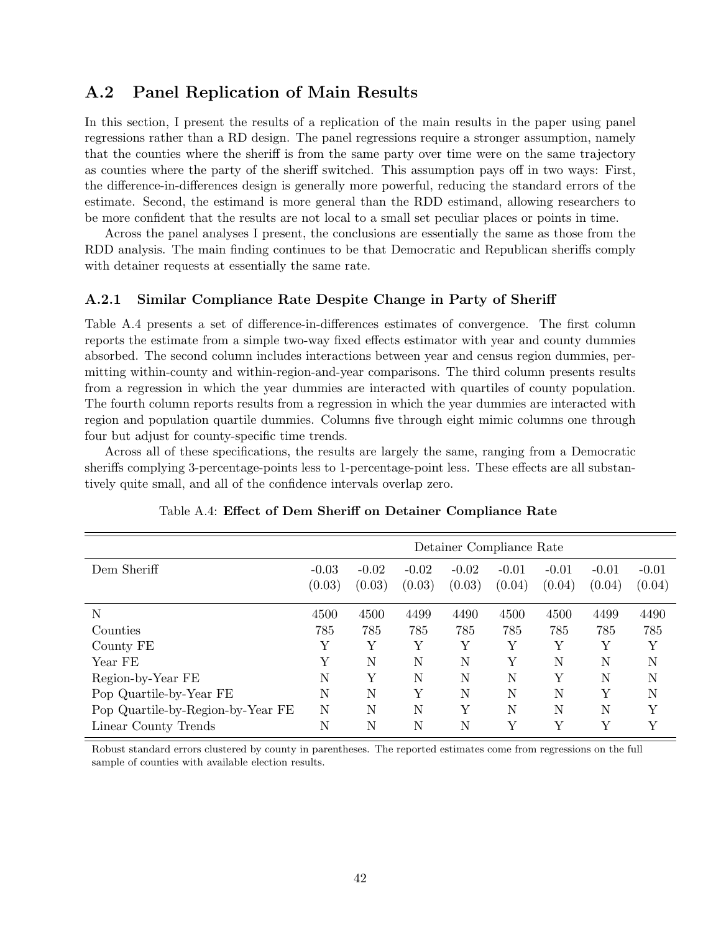# A.2 Panel Replication of Main Results

In this section, I present the results of a replication of the main results in the paper using panel regressions rather than a RD design. The panel regressions require a stronger assumption, namely that the counties where the sheriff is from the same party over time were on the same trajectory as counties where the party of the sheriff switched. This assumption pays off in two ways: First, the difference-in-differences design is generally more powerful, reducing the standard errors of the estimate. Second, the estimand is more general than the RDD estimand, allowing researchers to be more confident that the results are not local to a small set peculiar places or points in time.

Across the panel analyses I present, the conclusions are essentially the same as those from the RDD analysis. The main finding continues to be that Democratic and Republican sheriffs comply with detainer requests at essentially the same rate.

#### A.2.1 Similar Compliance Rate Despite Change in Party of Sheriff

Table A.4 presents a set of difference-in-differences estimates of convergence. The first column reports the estimate from a simple two-way fixed effects estimator with year and county dummies absorbed. The second column includes interactions between year and census region dummies, permitting within-county and within-region-and-year comparisons. The third column presents results from a regression in which the year dummies are interacted with quartiles of county population. The fourth column reports results from a regression in which the year dummies are interacted with region and population quartile dummies. Columns five through eight mimic columns one through four but adjust for county-specific time trends.

Across all of these specifications, the results are largely the same, ranging from a Democratic sheriffs complying 3-percentage-points less to 1-percentage-point less. These effects are all substantively quite small, and all of the confidence intervals overlap zero.

|                                   | Detainer Compliance Rate |                   |                   |                   |                   |                   |                   |                   |
|-----------------------------------|--------------------------|-------------------|-------------------|-------------------|-------------------|-------------------|-------------------|-------------------|
| Dem Sheriff                       | $-0.03$<br>(0.03)        | $-0.02$<br>(0.03) | $-0.02$<br>(0.03) | $-0.02$<br>(0.03) | $-0.01$<br>(0.04) | $-0.01$<br>(0.04) | $-0.01$<br>(0.04) | $-0.01$<br>(0.04) |
| N                                 | 4500                     | 4500              | 4499              | 4490              | 4500              | 4500              | 4499              | 4490              |
| Counties                          | 785                      | 785               | 785               | 785               | 785               | 785               | 785               | 785               |
| County FE                         | Y                        | Y                 | Υ                 | Υ                 | Υ                 | Υ                 | Υ                 | Υ                 |
| Year FE                           | Υ                        | N                 | N                 | N                 | Υ                 | N                 | N                 | N                 |
| Region-by-Year FE                 | N                        | Υ                 | N                 | N                 | N                 | Y                 | N                 | N                 |
| Pop Quartile-by-Year FE           | N                        | N                 | Υ                 | N                 | Ν                 | N                 | Υ                 | N                 |
| Pop Quartile-by-Region-by-Year FE | N                        | N                 | N                 | Υ                 | Ν                 | N                 | N                 | Y                 |
| Linear County Trends              | N                        | N                 | N                 | N                 | Υ                 | Υ                 | Y                 | Y                 |

Table A.4: Effect of Dem Sheriff on Detainer Compliance Rate

Robust standard errors clustered by county in parentheses. The reported estimates come from regressions on the full sample of counties with available election results.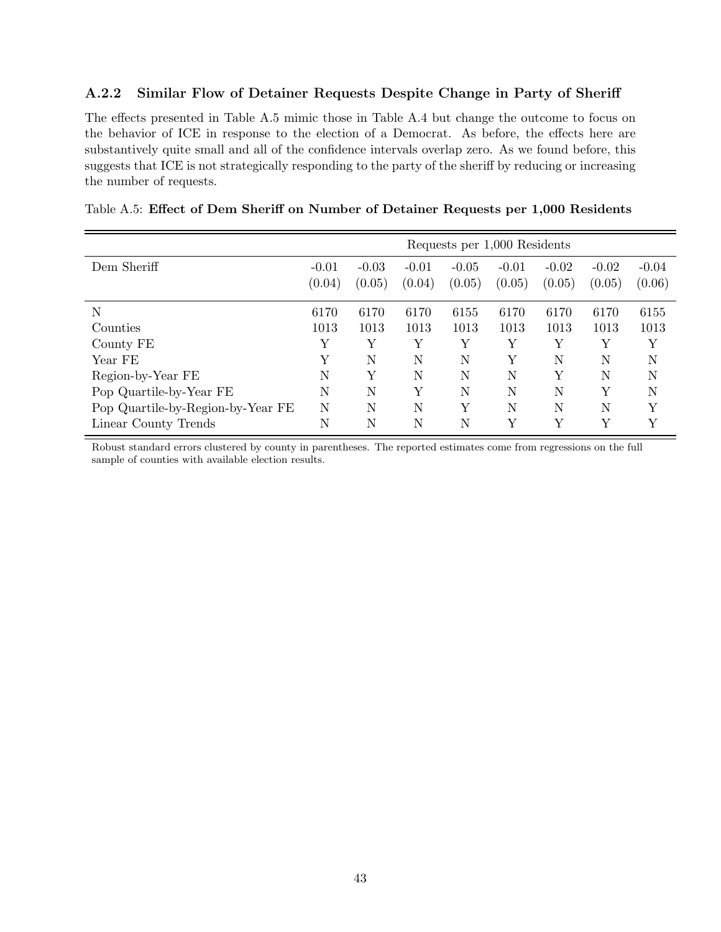#### A.2.2 Similar Flow of Detainer Requests Despite Change in Party of Sheriff

The effects presented in Table A.5 mimic those in Table A.4 but change the outcome to focus on the behavior of ICE in response to the election of a Democrat. As before, the effects here are substantively quite small and all of the confidence intervals overlap zero. As we found before, this suggests that ICE is not strategically responding to the party of the sheriff by reducing or increasing the number of requests.

|                                   | Requests per 1,000 Residents |                   |                   |                   |                   |                   |                   |                   |
|-----------------------------------|------------------------------|-------------------|-------------------|-------------------|-------------------|-------------------|-------------------|-------------------|
| Dem Sheriff                       | $-0.01$<br>(0.04)            | $-0.03$<br>(0.05) | $-0.01$<br>(0.04) | $-0.05$<br>(0.05) | $-0.01$<br>(0.05) | $-0.02$<br>(0.05) | $-0.02$<br>(0.05) | $-0.04$<br>(0.06) |
| N                                 | 6170                         | 6170              | 6170              | 6155              | 6170              | 6170              | 6170              | 6155              |
| Counties                          | 1013                         | 1013              | 1013              | 1013              | 1013              | 1013              | 1013              | 1013              |
| County FE                         | Υ                            | Υ                 | Υ                 | Υ                 | Υ                 | Υ                 | Υ                 | Υ                 |
| Year FE                           | Y                            | N                 | N                 | N                 | Υ                 | N                 | N                 | N                 |
| Region-by-Year FE                 | N                            | Υ                 | N                 | Ν                 | N                 | Υ                 | N                 | N                 |
| Pop Quartile-by-Year FE           | N                            | N                 | Υ                 | N                 | N                 | N                 | Υ                 | N                 |
| Pop Quartile-by-Region-by-Year FE | N                            | N                 | N                 | Υ                 | $\mathbf N$       | $\mathbf N$       | N                 | Υ                 |
| Linear County Trends              | N                            | N                 | N                 | N                 | Υ                 | Υ                 | Υ                 | Υ                 |

| Table A.5: Effect of Dem Sheriff on Number of Detainer Requests per 1,000 Residents |  |  |  |  |  |  |  |
|-------------------------------------------------------------------------------------|--|--|--|--|--|--|--|
|-------------------------------------------------------------------------------------|--|--|--|--|--|--|--|

Robust standard errors clustered by county in parentheses. The reported estimates come from regressions on the full sample of counties with available election results.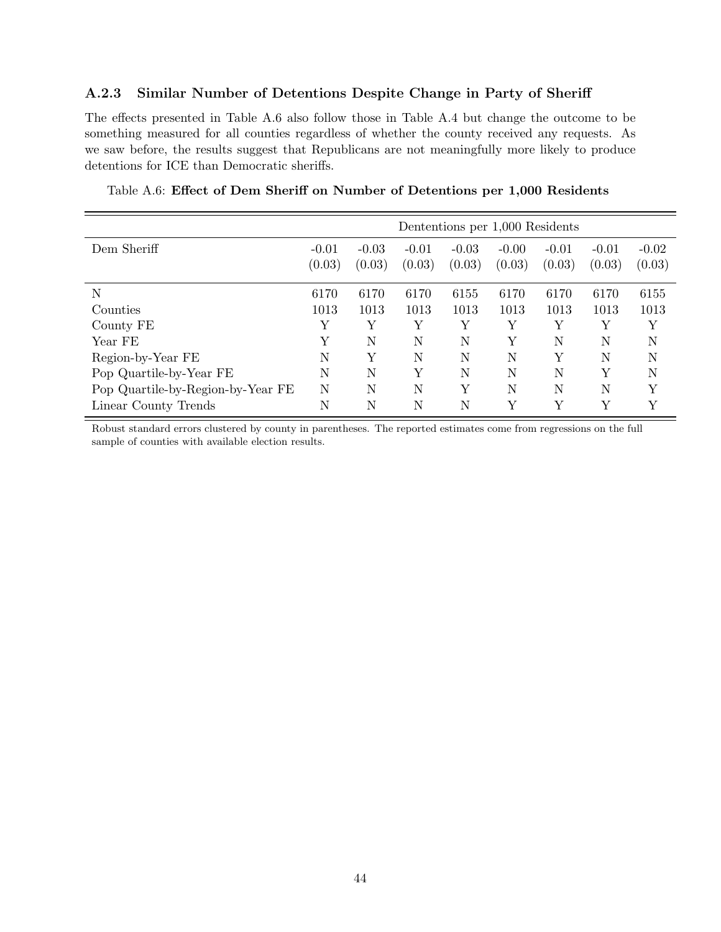#### A.2.3 Similar Number of Detentions Despite Change in Party of Sheriff

The effects presented in Table A.6 also follow those in Table A.4 but change the outcome to be something measured for all counties regardless of whether the county received any requests. As we saw before, the results suggest that Republicans are not meaningfully more likely to produce detentions for ICE than Democratic sheriffs.

|                                   | Dententions per 1,000 Residents |                   |                   |                   |                   |                   |                   |                   |
|-----------------------------------|---------------------------------|-------------------|-------------------|-------------------|-------------------|-------------------|-------------------|-------------------|
| Dem Sheriff                       | $-0.01$<br>(0.03)               | $-0.03$<br>(0.03) | $-0.01$<br>(0.03) | $-0.03$<br>(0.03) | $-0.00$<br>(0.03) | $-0.01$<br>(0.03) | $-0.01$<br>(0.03) | $-0.02$<br>(0.03) |
| N                                 | 6170                            | 6170              | 6170              | 6155              | 6170              | 6170              | 6170              | 6155              |
| Counties                          | 1013                            | 1013              | 1013              | 1013              | 1013              | 1013              | 1013              | 1013              |
| County FE                         | Y                               | Υ                 | Υ                 | Υ                 | Υ                 | Υ                 | Υ                 | Υ                 |
| Year FE                           | Υ                               | N                 | N                 | N                 | Υ                 | N                 | N                 | N                 |
| Region-by-Year FE                 | N                               | Υ                 | N                 | N                 | Ν                 | Υ                 | N                 | N                 |
| Pop Quartile-by-Year FE           | N                               | N                 | Υ                 | N                 | N                 | $\mathbf N$       | Y                 | N                 |
| Pop Quartile-by-Region-by-Year FE | N                               | N                 | N                 | Υ                 | N                 | $\mathbf N$       | N                 | Y                 |
| Linear County Trends              | N                               | N                 | N                 | N                 | Υ                 | Υ                 | Υ                 | Υ                 |

Table A.6: Effect of Dem Sheriff on Number of Detentions per 1,000 Residents

Robust standard errors clustered by county in parentheses. The reported estimates come from regressions on the full sample of counties with available election results.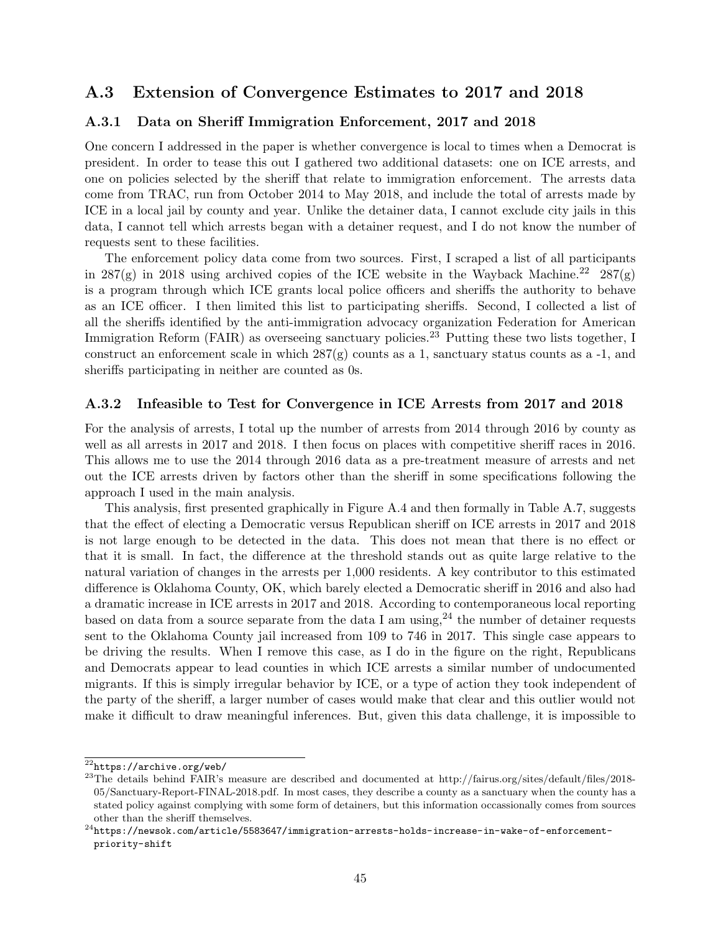# A.3 Extension of Convergence Estimates to 2017 and 2018

#### A.3.1 Data on Sheriff Immigration Enforcement, 2017 and 2018

One concern I addressed in the paper is whether convergence is local to times when a Democrat is president. In order to tease this out I gathered two additional datasets: one on ICE arrests, and one on policies selected by the sheriff that relate to immigration enforcement. The arrests data come from TRAC, run from October 2014 to May 2018, and include the total of arrests made by ICE in a local jail by county and year. Unlike the detainer data, I cannot exclude city jails in this data, I cannot tell which arrests began with a detainer request, and I do not know the number of requests sent to these facilities.

The enforcement policy data come from two sources. First, I scraped a list of all participants in 287(g) in 2018 using archived copies of the ICE website in the Wayback Machine.<sup>22</sup> 287(g) is a program through which ICE grants local police officers and sheriffs the authority to behave as an ICE officer. I then limited this list to participating sheriffs. Second, I collected a list of all the sheriffs identified by the anti-immigration advocacy organization Federation for American Immigration Reform (FAIR) as overseeing sanctuary policies.<sup>23</sup> Putting these two lists together, I construct an enforcement scale in which  $287(g)$  counts as a 1, sanctuary status counts as a -1, and sheriffs participating in neither are counted as 0s.

#### A.3.2 Infeasible to Test for Convergence in ICE Arrests from 2017 and 2018

For the analysis of arrests, I total up the number of arrests from 2014 through 2016 by county as well as all arrests in 2017 and 2018. I then focus on places with competitive sheriff races in 2016. This allows me to use the 2014 through 2016 data as a pre-treatment measure of arrests and net out the ICE arrests driven by factors other than the sheriff in some specifications following the approach I used in the main analysis.

This analysis, first presented graphically in Figure A.4 and then formally in Table A.7, suggests that the effect of electing a Democratic versus Republican sheriff on ICE arrests in 2017 and 2018 is not large enough to be detected in the data. This does not mean that there is no effect or that it is small. In fact, the difference at the threshold stands out as quite large relative to the natural variation of changes in the arrests per 1,000 residents. A key contributor to this estimated difference is Oklahoma County, OK, which barely elected a Democratic sheriff in 2016 and also had a dramatic increase in ICE arrests in 2017 and 2018. According to contemporaneous local reporting based on data from a source separate from the data I am using,  $24$  the number of detainer requests sent to the Oklahoma County jail increased from 109 to 746 in 2017. This single case appears to be driving the results. When I remove this case, as I do in the figure on the right, Republicans and Democrats appear to lead counties in which ICE arrests a similar number of undocumented migrants. If this is simply irregular behavior by ICE, or a type of action they took independent of the party of the sheriff, a larger number of cases would make that clear and this outlier would not make it difficult to draw meaningful inferences. But, given this data challenge, it is impossible to

<sup>22</sup>https://archive.org/web/

<sup>&</sup>lt;sup>23</sup>The details behind FAIR's measure are described and documented at http://fairus.org/sites/default/files/2018-05/Sanctuary-Report-FINAL-2018.pdf. In most cases, they describe a county as a sanctuary when the county has a stated policy against complying with some form of detainers, but this information occassionally comes from sources other than the sheriff themselves.

 $^{24}$ https://newsok.com/article/5583647/immigration-arrests-holds-increase-in-wake-of-enforcementpriority-shift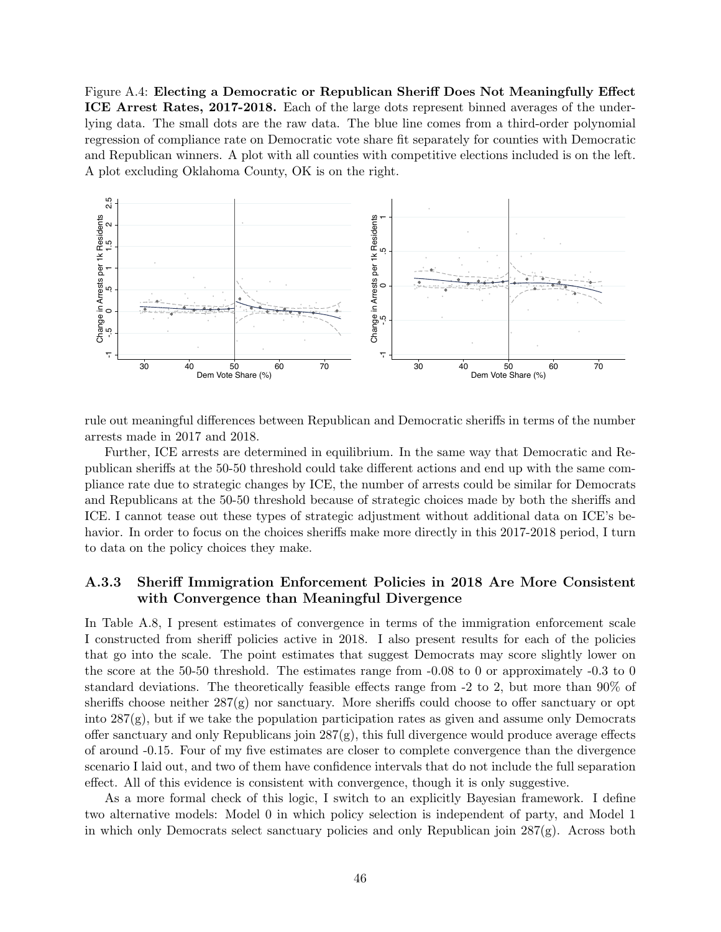Figure A.4: Electing a Democratic or Republican Sheriff Does Not Meaningfully Effect ICE Arrest Rates, 2017-2018. Each of the large dots represent binned averages of the underlying data. The small dots are the raw data. The blue line comes from a third-order polynomial regression of compliance rate on Democratic vote share fit separately for counties with Democratic and Republican winners. A plot with all counties with competitive elections included is on the left. A plot excluding Oklahoma County, OK is on the right.



rule out meaningful differences between Republican and Democratic sheriffs in terms of the number arrests made in 2017 and 2018.

Further, ICE arrests are determined in equilibrium. In the same way that Democratic and Republican sheriffs at the 50-50 threshold could take different actions and end up with the same compliance rate due to strategic changes by ICE, the number of arrests could be similar for Democrats and Republicans at the 50-50 threshold because of strategic choices made by both the sheriffs and ICE. I cannot tease out these types of strategic adjustment without additional data on ICE's behavior. In order to focus on the choices sheriffs make more directly in this 2017-2018 period, I turn to data on the policy choices they make.

#### A.3.3 Sheriff Immigration Enforcement Policies in 2018 Are More Consistent with Convergence than Meaningful Divergence

In Table A.8, I present estimates of convergence in terms of the immigration enforcement scale I constructed from sheriff policies active in 2018. I also present results for each of the policies that go into the scale. The point estimates that suggest Democrats may score slightly lower on the score at the 50-50 threshold. The estimates range from -0.08 to 0 or approximately -0.3 to 0 standard deviations. The theoretically feasible effects range from  $-2$  to 2, but more than  $90\%$  of sheriffs choose neither  $287(g)$  nor sanctuary. More sheriffs could choose to offer sanctuary or opt into  $287(g)$ , but if we take the population participation rates as given and assume only Democrats offer sanctuary and only Republicans join  $287(g)$ , this full divergence would produce average effects of around -0.15. Four of my five estimates are closer to complete convergence than the divergence scenario I laid out, and two of them have confidence intervals that do not include the full separation effect. All of this evidence is consistent with convergence, though it is only suggestive.

As a more formal check of this logic, I switch to an explicitly Bayesian framework. I define two alternative models: Model 0 in which policy selection is independent of party, and Model 1 in which only Democrats select sanctuary policies and only Republican join 287(g). Across both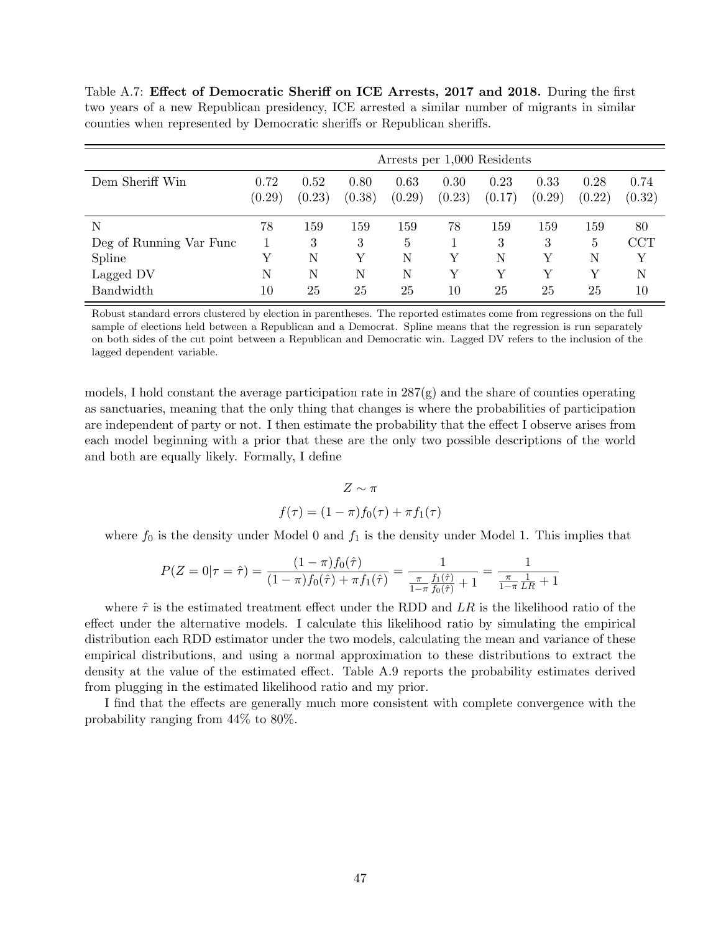Table A.7: Effect of Democratic Sheriff on ICE Arrests, 2017 and 2018. During the first two years of a new Republican presidency, ICE arrested a similar number of migrants in similar counties when represented by Democratic sheriffs or Republican sheriffs.

|                         | Arrests per 1,000 Residents |                |                |                |                |                |                |                |                |
|-------------------------|-----------------------------|----------------|----------------|----------------|----------------|----------------|----------------|----------------|----------------|
| Dem Sheriff Win         | 0.72<br>(0.29)              | 0.52<br>(0.23) | 0.80<br>(0.38) | 0.63<br>(0.29) | 0.30<br>(0.23) | 0.23<br>(0.17) | 0.33<br>(0.29) | 0.28<br>(0.22) | 0.74<br>(0.32) |
| Ν                       | 78                          | 159            | 159            | 159            | 78             | 159            | 159            | 159            | 80             |
| Deg of Running Var Func |                             | 3              | 3              | 5              |                | 3              | 3              | 5              | <b>CCT</b>     |
| Spline                  | Y                           | Ν              | Y              | N              | Y              | N              | V              | N              | Υ              |
| Lagged DV               | Ν                           | Ν              | Ν              | N              | Υ              | Y              | $\rm{V}$       | V              | N              |
| Bandwidth               | $10\,$                      | 25             | 25             | 25             | $10\,$         | 25             | 25             | 25             | 10             |

Robust standard errors clustered by election in parentheses. The reported estimates come from regressions on the full sample of elections held between a Republican and a Democrat. Spline means that the regression is run separately on both sides of the cut point between a Republican and Democratic win. Lagged DV refers to the inclusion of the lagged dependent variable.

models, I hold constant the average participation rate in  $287(g)$  and the share of counties operating as sanctuaries, meaning that the only thing that changes is where the probabilities of participation are independent of party or not. I then estimate the probability that the effect I observe arises from each model beginning with a prior that these are the only two possible descriptions of the world and both are equally likely. Formally, I define

$$
Z \sim \pi
$$
  

$$
f(\tau) = (1 - \pi)f_0(\tau) + \pi f_1(\tau)
$$

where  $f_0$  is the density under Model 0 and  $f_1$  is the density under Model 1. This implies that

$$
P(Z=0|\tau=\hat{\tau}) = \frac{(1-\pi)f_0(\hat{\tau})}{(1-\pi)f_0(\hat{\tau}) + \pi f_1(\hat{\tau})} = \frac{1}{\frac{\pi}{1-\pi}\frac{f_1(\hat{\tau})}{f_0(\hat{\tau})} + 1} = \frac{1}{\frac{\pi}{1-\pi}\frac{1}{LR} + 1}
$$

where  $\hat{\tau}$  is the estimated treatment effect under the RDD and *LR* is the likelihood ratio of the effect under the alternative models. I calculate this likelihood ratio by simulating the empirical distribution each RDD estimator under the two models, calculating the mean and variance of these empirical distributions, and using a normal approximation to these distributions to extract the density at the value of the estimated effect. Table A.9 reports the probability estimates derived from plugging in the estimated likelihood ratio and my prior.

I find that the effects are generally much more consistent with complete convergence with the probability ranging from 44% to 80%.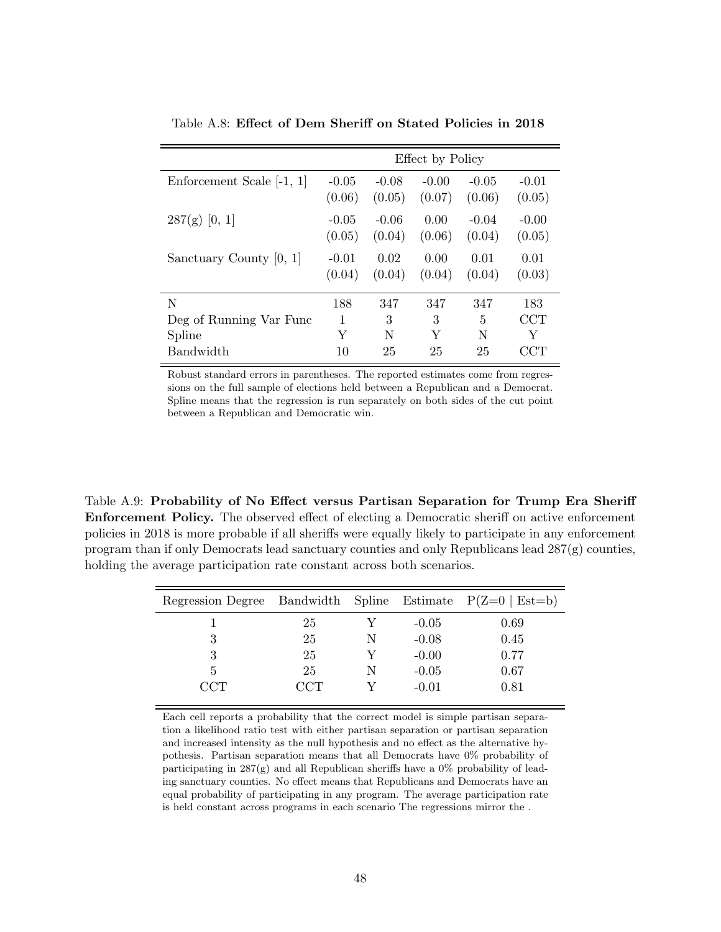|                           | Effect by Policy  |                   |                   |                   |                   |  |  |  |
|---------------------------|-------------------|-------------------|-------------------|-------------------|-------------------|--|--|--|
| Enforcement Scale [-1, 1] | $-0.05$<br>(0.06) | $-0.08$<br>(0.05) | $-0.00$<br>(0.07) | $-0.05$<br>(0.06) | $-0.01$<br>(0.05) |  |  |  |
| $287(g)$ [0, 1]           | $-0.05$<br>(0.05) | $-0.06$<br>(0.04) | 0.00<br>(0.06)    | $-0.04$<br>(0.04) | $-0.00$<br>(0.05) |  |  |  |
| Sanctuary County [0, 1]   | $-0.01$<br>(0.04) | 0.02<br>(0.04)    | 0.00<br>(0.04)    | 0.01<br>(0.04)    | 0.01<br>(0.03)    |  |  |  |
| N                         | 188               | 347               | 347               | 347               | 183               |  |  |  |
| Deg of Running Var Func   | 1                 | 3                 | 3                 | 5                 | $\rm{CCT}$        |  |  |  |
| Spline                    | Y                 | N                 | Y                 | N                 | Y                 |  |  |  |
| <b>Bandwidth</b>          | 10                | 25                | 25                | 25                | CCT               |  |  |  |

Table A.8: Effect of Dem Sheriff on Stated Policies in 2018

Robust standard errors in parentheses. The reported estimates come from regressions on the full sample of elections held between a Republican and a Democrat. Spline means that the regression is run separately on both sides of the cut point between a Republican and Democratic win.

Table A.9: Probability of No Effect versus Partisan Separation for Trump Era Sheriff Enforcement Policy. The observed effect of electing a Democratic sheriff on active enforcement policies in 2018 is more probable if all sheriffs were equally likely to participate in any enforcement program than if only Democrats lead sanctuary counties and only Republicans lead 287(g) counties, holding the average participation rate constant across both scenarios.

| Regression Degree Bandwidth Spline Estimate $P(Z=0   Est=b)$ |     |   |         |      |
|--------------------------------------------------------------|-----|---|---------|------|
|                                                              | 25  |   | $-0.05$ | 0.69 |
| 3                                                            | 25  | N | $-0.08$ | 0.45 |
| 3                                                            | 25  |   | $-0.00$ | 0.77 |
| 5                                                            | 25  | N | $-0.05$ | 0.67 |
| $\Gamma$ CT                                                  | CCT |   | $-0.01$ | 0.81 |

Each cell reports a probability that the correct model is simple partisan separation a likelihood ratio test with either partisan separation or partisan separation and increased intensity as the null hypothesis and no effect as the alternative hypothesis. Partisan separation means that all Democrats have 0% probability of participating in  $287(g)$  and all Republican sheriffs have a  $0\%$  probability of leading sanctuary counties. No effect means that Republicans and Democrats have an equal probability of participating in any program. The average participation rate is held constant across programs in each scenario The regressions mirror the .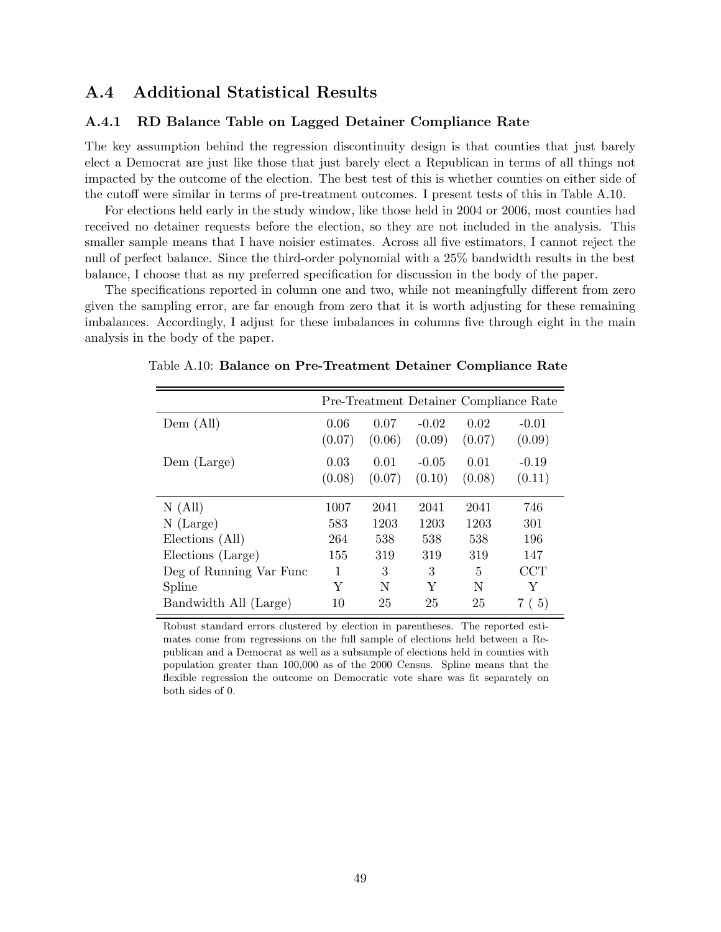# A.4 Additional Statistical Results

#### A.4.1 RD Balance Table on Lagged Detainer Compliance Rate

The key assumption behind the regression discontinuity design is that counties that just barely elect a Democrat are just like those that just barely elect a Republican in terms of all things not impacted by the outcome of the election. The best test of this is whether counties on either side of the cutoff were similar in terms of pre-treatment outcomes. I present tests of this in Table A.10.

For elections held early in the study window, like those held in 2004 or 2006, most counties had received no detainer requests before the election, so they are not included in the analysis. This smaller sample means that I have noisier estimates. Across all five estimators, I cannot reject the null of perfect balance. Since the third-order polynomial with a 25% bandwidth results in the best balance, I choose that as my preferred specification for discussion in the body of the paper.

The specifications reported in column one and two, while not meaningfully different from zero given the sampling error, are far enough from zero that it is worth adjusting for these remaining imbalances. Accordingly, I adjust for these imbalances in columns five through eight in the main analysis in the body of the paper.

|                         |        |        |         |        | Pre-Treatment Detainer Compliance Rate |
|-------------------------|--------|--------|---------|--------|----------------------------------------|
| Dem (All)               | 0.06   | 0.07   | $-0.02$ | 0.02   | $-0.01$                                |
|                         | (0.07) | (0.06) | (0.09)  | (0.07) | (0.09)                                 |
| Dem (Large)             | 0.03   | 0.01   | $-0.05$ | 0.01   | $-0.19$                                |
|                         | (0.08) | (0.07) | (0.10)  | (0.08) | (0.11)                                 |
| N(All)                  | 1007   | 2041   | 2041    | 2041   | 746                                    |
| $N$ (Large)             | 583    | 1203   | 1203    | 1203   | 301                                    |
| Elections (All)         | 264    | 538    | 538     | 538    | 196                                    |
| Elections (Large)       | 155    | 319    | 319     | 319    | 147                                    |
| Deg of Running Var Func | 1      | 3      | 3       | 5      | $\rm{CCT}$                             |
| Spline                  | Y      | N      | Y       | N      | Y                                      |
| Bandwidth All (Large)   | 10     | 25     | 25      | 25     | (5)                                    |

Table A.10: Balance on Pre-Treatment Detainer Compliance Rate

Robust standard errors clustered by election in parentheses. The reported estimates come from regressions on the full sample of elections held between a Republican and a Democrat as well as a subsample of elections held in counties with population greater than 100,000 as of the 2000 Census. Spline means that the flexible regression the outcome on Democratic vote share was fit separately on both sides of 0.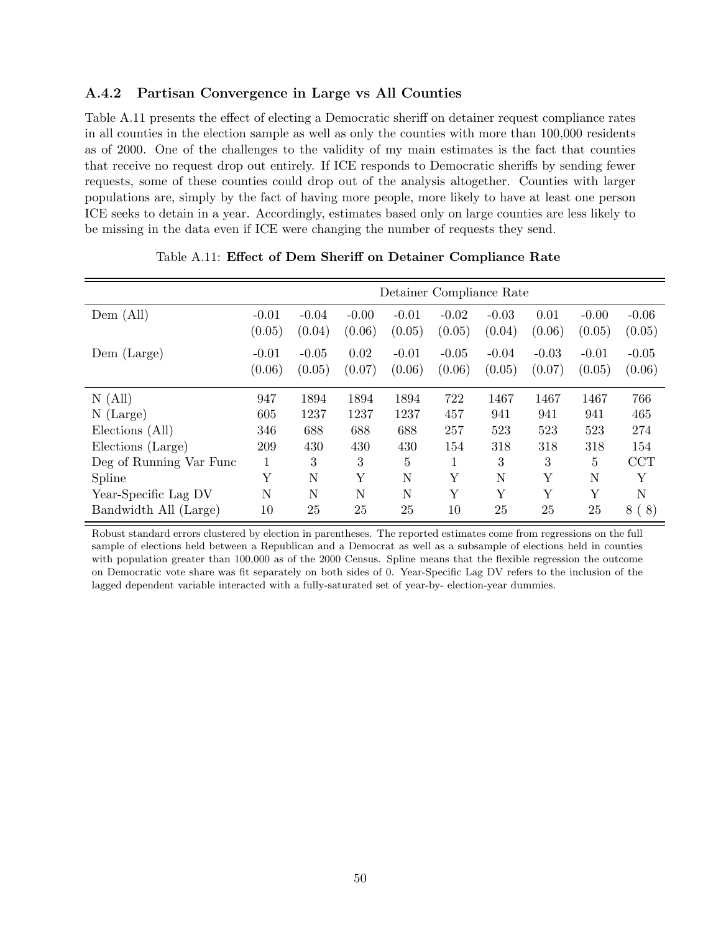#### A.4.2 Partisan Convergence in Large vs All Counties

Table A.11 presents the effect of electing a Democratic sheriff on detainer request compliance rates in all counties in the election sample as well as only the counties with more than 100,000 residents as of 2000. One of the challenges to the validity of my main estimates is the fact that counties that receive no request drop out entirely. If ICE responds to Democratic sheriffs by sending fewer requests, some of these counties could drop out of the analysis altogether. Counties with larger populations are, simply by the fact of having more people, more likely to have at least one person ICE seeks to detain in a year. Accordingly, estimates based only on large counties are less likely to be missing in the data even if ICE were changing the number of requests they send.

|                         | Detainer Compliance Rate |         |         |                |         |         |         |         |         |  |
|-------------------------|--------------------------|---------|---------|----------------|---------|---------|---------|---------|---------|--|
| $Dem$ (All)             | $-0.01$                  | $-0.04$ | $-0.00$ | $-0.01$        | $-0.02$ | $-0.03$ | 0.01    | $-0.00$ | $-0.06$ |  |
|                         | (0.05)                   | (0.04)  | (0.06)  | (0.05)         | (0.05)  | (0.04)  | (0.06)  | (0.05)  | (0.05)  |  |
| Dem (Large)             | $-0.01$                  | $-0.05$ | 0.02    | $-0.01$        | $-0.05$ | $-0.04$ | $-0.03$ | $-0.01$ | $-0.05$ |  |
|                         | (0.06)                   | (0.05)  | (0.07)  | (0.06)         | (0.06)  | (0.05)  | (0.07)  | (0.05)  | (0.06)  |  |
|                         |                          |         |         |                |         |         |         |         |         |  |
| N(All)                  | 947                      | 1894    | 1894    | 1894           | 722     | 1467    | 1467    | 1467    | 766     |  |
| $N$ (Large)             | 605                      | 1237    | 1237    | 1237           | 457     | 941     | 941     | 941     | 465     |  |
| Elections (All)         | 346                      | 688     | 688     | 688            | 257     | 523     | 523     | 523     | 274     |  |
| Elections (Large)       | 209                      | 430     | 430     | 430            | 154     | 318     | 318     | 318     | 154     |  |
| Deg of Running Var Func | 1                        | 3       | 3       | $\overline{5}$ | 1       | 3       | 3       | 5       | CCT     |  |
| Spline                  | Υ                        | N       | Y       | N              | Y       | N       | Y       | N       | Υ       |  |
| Year-Specific Lag DV    | N                        | N       | N       | N              | Y       | Y       | Y       | Y       | N       |  |
| Bandwidth All (Large)   | 10                       | 25      | 25      | 25             | 10      | 25      | 25      | 25      | 8(8)    |  |

Table A.11: Effect of Dem Sheriff on Detainer Compliance Rate

Robust standard errors clustered by election in parentheses. The reported estimates come from regressions on the full sample of elections held between a Republican and a Democrat as well as a subsample of elections held in counties with population greater than 100,000 as of the 2000 Census. Spline means that the flexible regression the outcome on Democratic vote share was fit separately on both sides of 0. Year-Specific Lag DV refers to the inclusion of the lagged dependent variable interacted with a fully-saturated set of year-by- election-year dummies.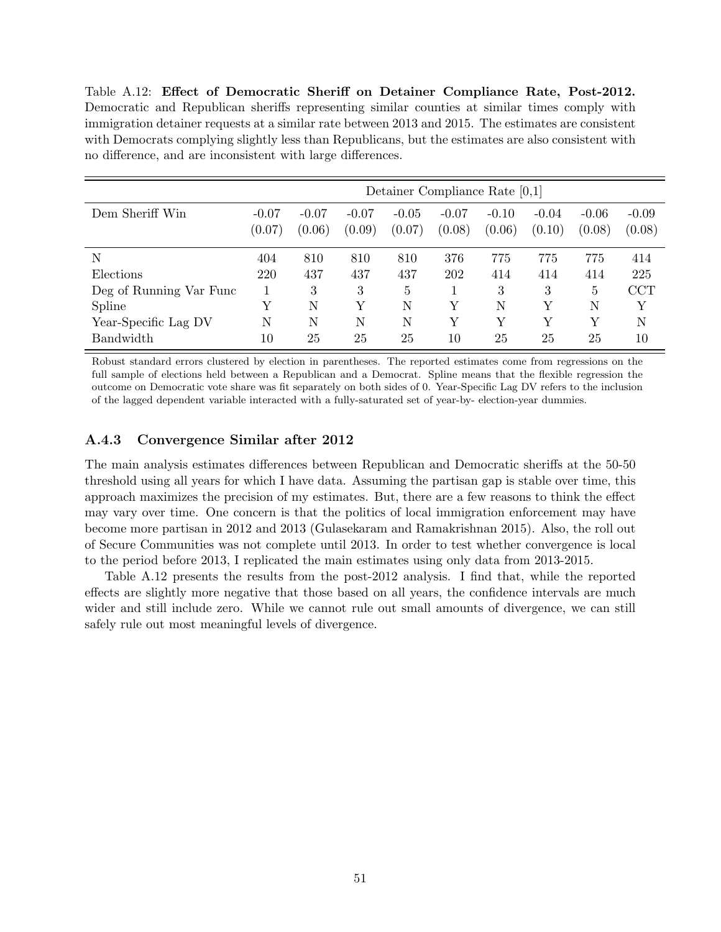Table A.12: Effect of Democratic Sheriff on Detainer Compliance Rate, Post-2012. Democratic and Republican sheriffs representing similar counties at similar times comply with immigration detainer requests at a similar rate between 2013 and 2015. The estimates are consistent with Democrats complying slightly less than Republicans, but the estimates are also consistent with no difference, and are inconsistent with large differences.

|                         | Detainer Compliance Rate $[0,1]$ |                   |                   |                   |                   |                   |                   |                   |                   |
|-------------------------|----------------------------------|-------------------|-------------------|-------------------|-------------------|-------------------|-------------------|-------------------|-------------------|
| Dem Sheriff Win         | $-0.07$<br>(0.07)                | $-0.07$<br>(0.06) | $-0.07$<br>(0.09) | $-0.05$<br>(0.07) | $-0.07$<br>(0.08) | $-0.10$<br>(0.06) | $-0.04$<br>(0.10) | $-0.06$<br>(0.08) | $-0.09$<br>(0.08) |
| N                       | 404                              | 810               | 810               | 810               | 376               | 775               | 775               | 775               | 414               |
| Elections               | 220                              | 437               | 437               | 437               | 202               | 414               | 414               | 414               | 225               |
| Deg of Running Var Func |                                  | 3                 | 3                 | 5                 |                   | 3                 | 3                 | $\overline{5}$    | <b>CCT</b>        |
| Spline                  | Υ                                | N                 | Y                 | N                 | Y                 | N                 | Y                 | N                 | Y                 |
| Year-Specific Lag DV    | Ν                                | N                 | N                 | N                 | Υ                 | Y                 | Y                 | Y                 | N                 |
| Bandwidth               | 10                               | 25                | 25                | 25                | $10\,$            | 25                | 25                | 25                | 10                |

Robust standard errors clustered by election in parentheses. The reported estimates come from regressions on the full sample of elections held between a Republican and a Democrat. Spline means that the flexible regression the outcome on Democratic vote share was fit separately on both sides of 0. Year-Specific Lag DV refers to the inclusion of the lagged dependent variable interacted with a fully-saturated set of year-by- election-year dummies.

### A.4.3 Convergence Similar after 2012

The main analysis estimates differences between Republican and Democratic sheriffs at the 50-50 threshold using all years for which I have data. Assuming the partisan gap is stable over time, this approach maximizes the precision of my estimates. But, there are a few reasons to think the effect may vary over time. One concern is that the politics of local immigration enforcement may have become more partisan in 2012 and 2013 (Gulasekaram and Ramakrishnan 2015). Also, the roll out of Secure Communities was not complete until 2013. In order to test whether convergence is local to the period before 2013, I replicated the main estimates using only data from 2013-2015.

Table A.12 presents the results from the post-2012 analysis. I find that, while the reported effects are slightly more negative that those based on all years, the confidence intervals are much wider and still include zero. While we cannot rule out small amounts of divergence, we can still safely rule out most meaningful levels of divergence.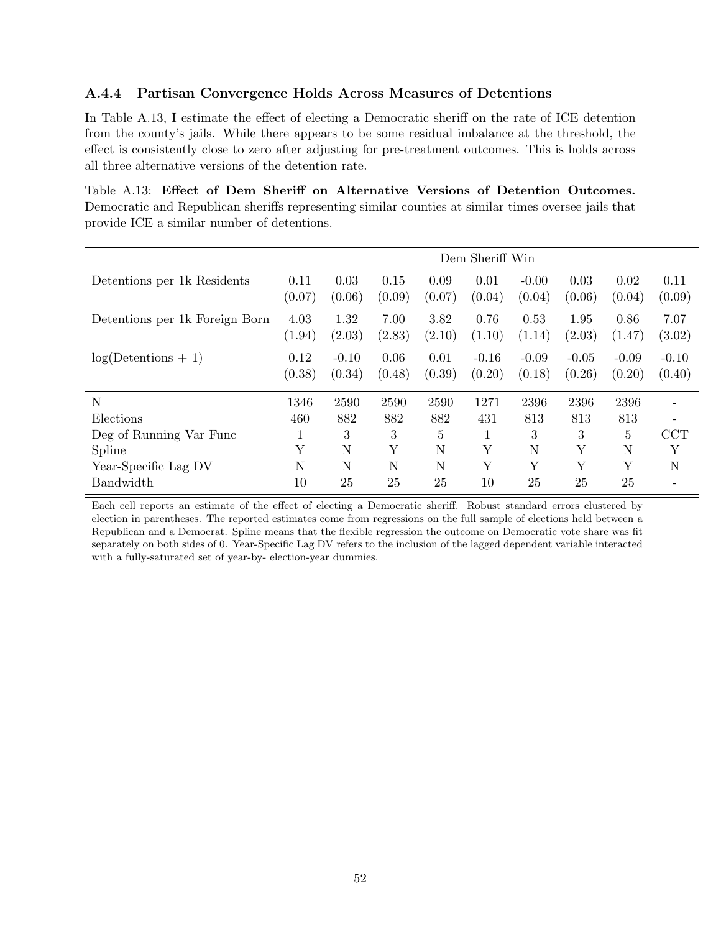#### A.4.4 Partisan Convergence Holds Across Measures of Detentions

In Table A.13, I estimate the effect of electing a Democratic sheriff on the rate of ICE detention from the county's jails. While there appears to be some residual imbalance at the threshold, the effect is consistently close to zero after adjusting for pre-treatment outcomes. This is holds across all three alternative versions of the detention rate.

Table A.13: Effect of Dem Sheriff on Alternative Versions of Detention Outcomes. Democratic and Republican sheriffs representing similar counties at similar times oversee jails that provide ICE a similar number of detentions.

|                                | Dem Sheriff Win |                   |                |                |                   |                   |                   |                   |                   |
|--------------------------------|-----------------|-------------------|----------------|----------------|-------------------|-------------------|-------------------|-------------------|-------------------|
| Detentions per 1k Residents    | 0.11<br>(0.07)  | 0.03<br>(0.06)    | 0.15<br>(0.09) | 0.09<br>(0.07) | 0.01<br>(0.04)    | $-0.00$<br>(0.04) | 0.03<br>(0.06)    | 0.02<br>(0.04)    | 0.11<br>(0.09)    |
| Detentions per 1k Foreign Born | 4.03<br>(1.94)  | 1.32<br>(2.03)    | 7.00<br>(2.83) | 3.82<br>(2.10) | 0.76<br>(1.10)    | 0.53<br>(1.14)    | 1.95<br>(2.03)    | 0.86<br>(1.47)    | 7.07<br>(3.02)    |
| $log(Detentials + 1)$          | 0.12<br>(0.38)  | $-0.10$<br>(0.34) | 0.06<br>(0.48) | 0.01<br>(0.39) | $-0.16$<br>(0.20) | $-0.09$<br>(0.18) | $-0.05$<br>(0.26) | $-0.09$<br>(0.20) | $-0.10$<br>(0.40) |
| N                              | 1346            | 2590              | 2590           | 2590           | 1271              | 2396              | 2396              | 2396              |                   |
| Elections                      | 460             | 882               | 882            | 882            | 431               | 813               | 813               | 813               |                   |
| Deg of Running Var Func        | T               | 3                 | 3              | 5              |                   | 3                 | 3                 | 5                 | <b>CCT</b>        |
| Spline                         | Y               | $\mathbf N$       | Υ              | N              | Υ                 | $\mathbf N$       | Y                 | $\mathbf N$       | Y                 |
| Year-Specific Lag DV           | N               | $\mathbf N$       | N              | N              | Υ                 | Υ                 | Y                 | Υ                 | N                 |
| Bandwidth                      | 10              | 25                | 25             | 25             | 10                | 25                | 25                | 25                |                   |

Each cell reports an estimate of the effect of electing a Democratic sheriff. Robust standard errors clustered by election in parentheses. The reported estimates come from regressions on the full sample of elections held between a Republican and a Democrat. Spline means that the flexible regression the outcome on Democratic vote share was fit separately on both sides of 0. Year-Specific Lag DV refers to the inclusion of the lagged dependent variable interacted with a fully-saturated set of year-by- election-year dummies.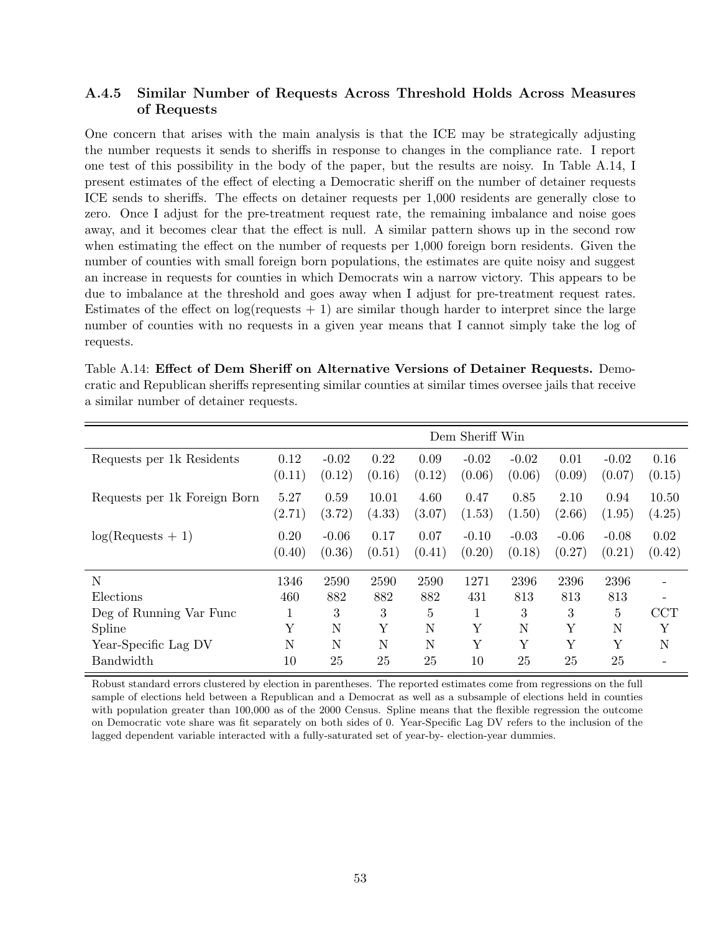#### A.4.5 Similar Number of Requests Across Threshold Holds Across Measures of Requests

One concern that arises with the main analysis is that the ICE may be strategically adjusting the number requests it sends to sheriffs in response to changes in the compliance rate. I report one test of this possibility in the body of the paper, but the results are noisy. In Table A.14, I present estimates of the effect of electing a Democratic sheriff on the number of detainer requests ICE sends to sheriffs. The effects on detainer requests per 1,000 residents are generally close to zero. Once I adjust for the pre-treatment request rate, the remaining imbalance and noise goes away, and it becomes clear that the effect is null. A similar pattern shows up in the second row when estimating the effect on the number of requests per 1,000 foreign born residents. Given the number of counties with small foreign born populations, the estimates are quite noisy and suggest an increase in requests for counties in which Democrats win a narrow victory. This appears to be due to imbalance at the threshold and goes away when I adjust for pre-treatment request rates. Estimates of the effect on  $log(requests + 1)$  are similar though harder to interpret since the large number of counties with no requests in a given year means that I cannot simply take the log of requests.

|                              | Dem Sheriff Win |                   |                 |                |                   |                   |                   |                   |                 |
|------------------------------|-----------------|-------------------|-----------------|----------------|-------------------|-------------------|-------------------|-------------------|-----------------|
| Requests per 1k Residents    | 0.12<br>(0.11)  | $-0.02$<br>(0.12) | 0.22<br>(0.16)  | 0.09<br>(0.12) | $-0.02$<br>(0.06) | $-0.02$<br>(0.06) | 0.01<br>(0.09)    | $-0.02$<br>(0.07) | 0.16<br>(0.15)  |
| Requests per 1k Foreign Born | 5.27<br>(2.71)  | 0.59<br>(3.72)    | 10.01<br>(4.33) | 4.60<br>(3.07) | 0.47<br>(1.53)    | 0.85<br>(1.50)    | 2.10<br>(2.66)    | 0.94<br>(1.95)    | 10.50<br>(4.25) |
| $log(Requests + 1)$          | 0.20<br>(0.40)  | $-0.06$<br>(0.36) | 0.17<br>(0.51)  | 0.07<br>(0.41) | $-0.10$<br>(0.20) | $-0.03$<br>(0.18) | $-0.06$<br>(0.27) | $-0.08$<br>(0.21) | 0.02<br>(0.42)  |
| N                            | 1346            | 2590              | 2590            | 2590           | 1271              | 2396              | 2396              | 2396              |                 |
| Elections                    | 460             | 882               | 882             | 882            | 431               | 813               | 813               | 813               |                 |
| Deg of Running Var Func      | 1               | 3                 | 3               | 5              | 1                 | 3                 | 3                 | $\overline{5}$    | <b>CCT</b>      |
| Spline                       | Υ               | N                 | Υ               | N              | Υ                 | N                 | Y                 | N                 | Y               |
| Year-Specific Lag DV         | N               | N                 | N               | N              | Y                 | Y                 | Y                 | Y                 | N               |
| Bandwidth                    | 10              | 25                | 25              | 25             | 10                | 25                | 25                | 25                |                 |

Table A.14: Effect of Dem Sheriff on Alternative Versions of Detainer Requests. Democratic and Republican sheriffs representing similar counties at similar times oversee jails that receive a similar number of detainer requests.

Robust standard errors clustered by election in parentheses. The reported estimates come from regressions on the full sample of elections held between a Republican and a Democrat as well as a subsample of elections held in counties with population greater than 100,000 as of the 2000 Census. Spline means that the flexible regression the outcome on Democratic vote share was fit separately on both sides of 0. Year-Specific Lag DV refers to the inclusion of the lagged dependent variable interacted with a fully-saturated set of year-by- election-year dummies.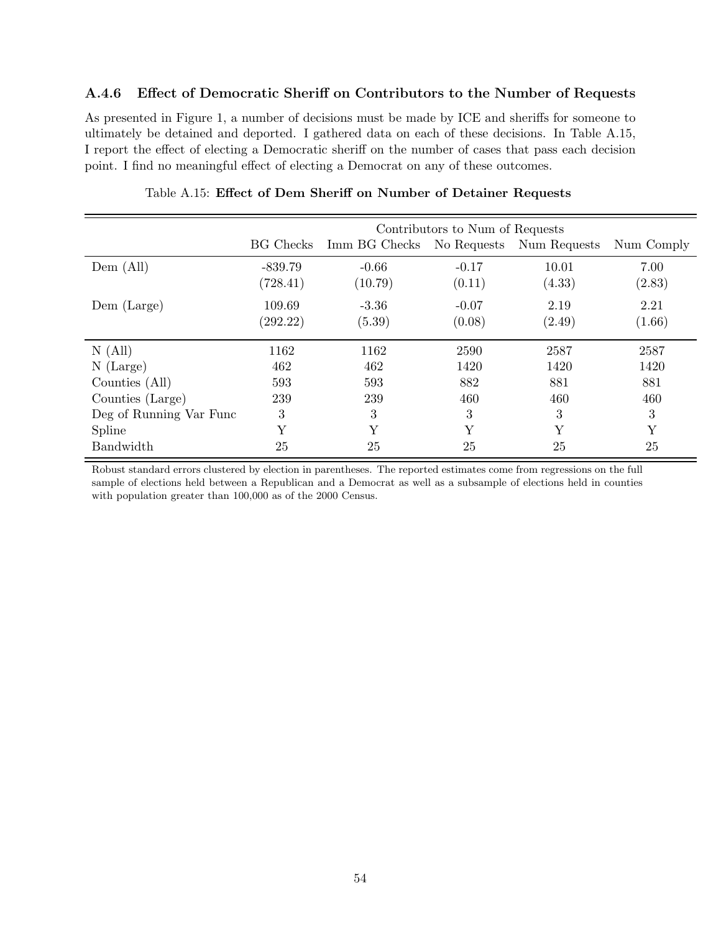#### A.4.6 Effect of Democratic Sheriff on Contributors to the Number of Requests

As presented in Figure 1, a number of decisions must be made by ICE and sheriffs for someone to ultimately be detained and deported. I gathered data on each of these decisions. In Table A.15, I report the effect of electing a Democratic sheriff on the number of cases that pass each decision point. I find no meaningful effect of electing a Democrat on any of these outcomes.

|                         |                  |                                        | Contributors to Num of Requests |        |            |
|-------------------------|------------------|----------------------------------------|---------------------------------|--------|------------|
|                         | <b>BG</b> Checks | Imm BG Checks No Requests Num Requests |                                 |        | Num Comply |
| Dem (All)               | $-839.79$        | $-0.66$                                | $-0.17$                         | 10.01  | 7.00       |
|                         | (728.41)         | (10.79)                                | (0.11)                          | (4.33) | (2.83)     |
| Dem (Large)             | 109.69           | $-3.36$                                | $-0.07$                         | 2.19   | 2.21       |
|                         | (292.22)         | (5.39)                                 | (0.08)                          | (2.49) | (1.66)     |
| N(All)                  | 1162             | 1162                                   | 2590                            | 2587   | 2587       |
| $N$ (Large)             | 462              | 462                                    | 1420                            | 1420   | 1420       |
| Counties (All)          | 593              | 593                                    | 882                             | 881    | 881        |
| Counties (Large)        | 239              | 239                                    | 460                             | 460    | 460        |
| Deg of Running Var Func | 3                | 3                                      | 3                               | 3      | 3          |
| Spline                  | Y                | Y                                      | Y                               | Y      | Y          |
| Bandwidth               | 25               | 25                                     | 25                              | 25     | 25         |

#### Table A.15: Effect of Dem Sheriff on Number of Detainer Requests

Robust standard errors clustered by election in parentheses. The reported estimates come from regressions on the full sample of elections held between a Republican and a Democrat as well as a subsample of elections held in counties with population greater than 100,000 as of the 2000 Census.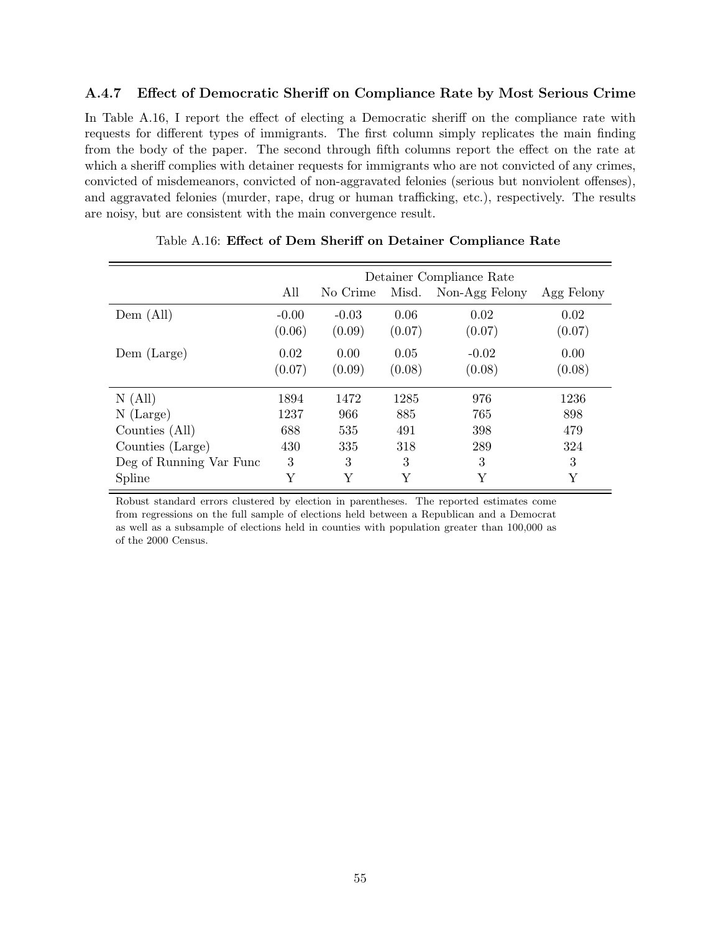#### A.4.7 Effect of Democratic Sheriff on Compliance Rate by Most Serious Crime

In Table  $A.16$ , I report the effect of electing a Democratic sheriff on the compliance rate with requests for different types of immigrants. The first column simply replicates the main finding from the body of the paper. The second through fifth columns report the effect on the rate at which a sheriff complies with detainer requests for immigrants who are not convicted of any crimes, convicted of misdemeanors, convicted of non-aggravated felonies (serious but nonviolent offenses), and aggravated felonies (murder, rape, drug or human trafficking, etc.), respectively. The results are noisy, but are consistent with the main convergence result.

|                         |                   |                   |                | Detainer Compliance Rate |                |
|-------------------------|-------------------|-------------------|----------------|--------------------------|----------------|
|                         | All               | No Crime          | Misd.          | Non-Agg Felony           | Agg Felony     |
| Dem (All)               | $-0.00$<br>(0.06) | $-0.03$<br>(0.09) | 0.06<br>(0.07) | 0.02<br>(0.07)           | 0.02<br>(0.07) |
| Dem (Large)             | 0.02<br>(0.07)    | 0.00<br>(0.09)    | 0.05<br>(0.08) | $-0.02$<br>(0.08)        | 0.00<br>(0.08) |
| N(All)                  | 1894              | 1472              | 1285           | 976                      | 1236           |
| $N$ (Large)             | 1237              | 966               | 885            | 765                      | 898            |
| Counties (All)          | 688               | 535               | 491            | 398                      | 479            |
| Counties (Large)        | 430               | 335               | 318            | 289                      | 324            |
| Deg of Running Var Func | 3                 | 3                 | 3              | 3                        | 3              |
| Spline                  | Y                 | Y                 | Υ              | Y                        | Υ              |

|  |  |  |  |  |  | Table A.16: Effect of Dem Sheriff on Detainer Compliance Rate |  |
|--|--|--|--|--|--|---------------------------------------------------------------|--|
|--|--|--|--|--|--|---------------------------------------------------------------|--|

Robust standard errors clustered by election in parentheses. The reported estimates come from regressions on the full sample of elections held between a Republican and a Democrat as well as a subsample of elections held in counties with population greater than 100,000 as of the 2000 Census.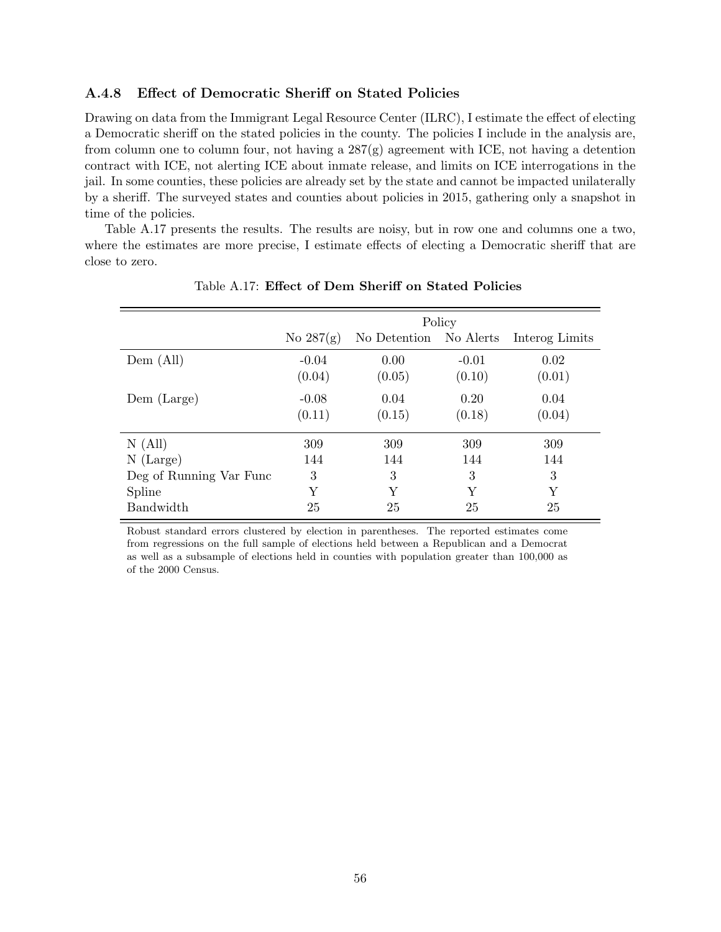#### A.4.8 Effect of Democratic Sheriff on Stated Policies

Drawing on data from the Immigrant Legal Resource Center (ILRC), I estimate the effect of electing a Democratic sheriff on the stated policies in the county. The policies I include in the analysis are, from column one to column four, not having a  $287(g)$  agreement with ICE, not having a detention contract with ICE, not alerting ICE about inmate release, and limits on ICE interrogations in the jail. In some counties, these policies are already set by the state and cannot be impacted unilaterally by a sheriff. The surveyed states and counties about policies in 2015, gathering only a snapshot in time of the policies.

Table A.17 presents the results. The results are noisy, but in row one and columns one a two, where the estimates are more precise, I estimate effects of electing a Democratic sheriff that are close to zero.

|                         |                   |                        | Policy            |                |
|-------------------------|-------------------|------------------------|-------------------|----------------|
|                         | No $287(g)$       | No Detention No Alerts |                   | Interog Limits |
| Dem (All)               | $-0.04$<br>(0.04) | 0.00<br>(0.05)         | $-0.01$<br>(0.10) | 0.02<br>(0.01) |
| Dem (Large)             | $-0.08$<br>(0.11) | 0.04<br>(0.15)         | 0.20<br>(0.18)    | 0.04<br>(0.04) |
| N(All)                  | 309               | 309                    | 309               | 309            |
| $N$ (Large)             | 144               | 144                    | 144               | 144            |
| Deg of Running Var Func | 3                 | 3                      | 3                 | 3              |
| Spline                  | Υ                 | Y                      | Y                 | Y              |
| <b>Bandwidth</b>        | 25                | 25                     | 25                | 25             |

Table A.17: Effect of Dem Sheriff on Stated Policies

Robust standard errors clustered by election in parentheses. The reported estimates come from regressions on the full sample of elections held between a Republican and a Democrat as well as a subsample of elections held in counties with population greater than 100,000 as of the 2000 Census.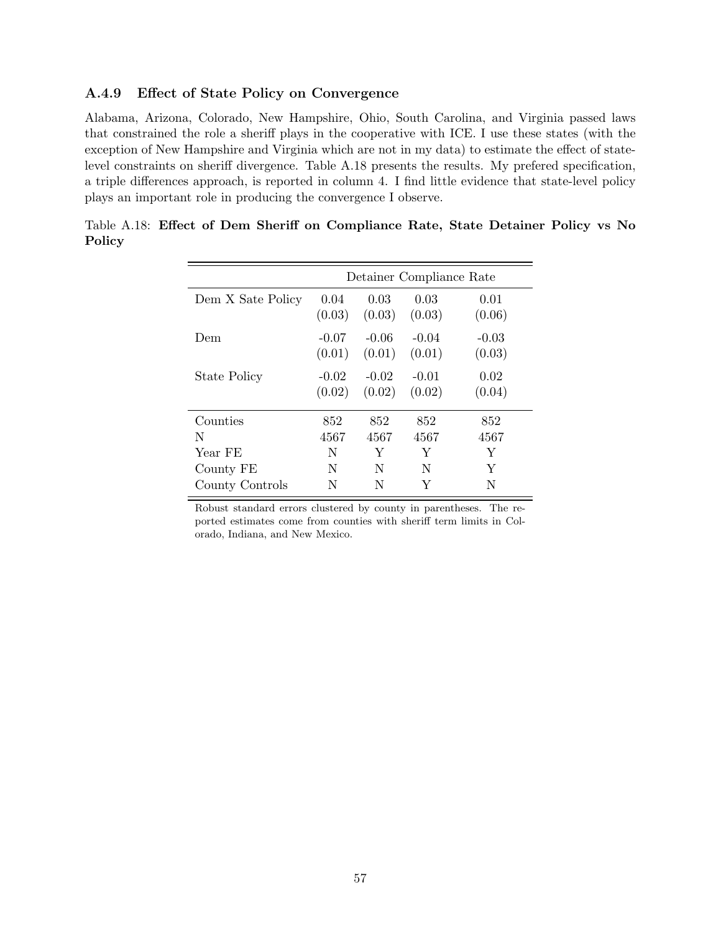#### A.4.9 Effect of State Policy on Convergence

Alabama, Arizona, Colorado, New Hampshire, Ohio, South Carolina, and Virginia passed laws that constrained the role a sheriff plays in the cooperative with ICE. I use these states (with the exception of New Hampshire and Virginia which are not in my data) to estimate the effect of statelevel constraints on sheriff divergence. Table A.18 presents the results. My prefered specification, a triple differences approach, is reported in column 4. I find little evidence that state-level policy plays an important role in producing the convergence I observe.

|                   |                   |                   | Detainer Compliance Rate |                   |
|-------------------|-------------------|-------------------|--------------------------|-------------------|
| Dem X Sate Policy | 0.04<br>(0.03)    | 0.03<br>(0.03)    | 0.03<br>(0.03)           | 0.01<br>(0.06)    |
| Dem               | $-0.07$<br>(0.01) | $-0.06$<br>(0.01) | $-0.04$<br>(0.01)        | $-0.03$<br>(0.03) |
| State Policy      | $-0.02$<br>(0.02) | $-0.02$<br>(0.02) | $-0.01$<br>(0.02)        | 0.02<br>(0.04)    |
| Counties          | 852               | 852               | 852                      | 852               |
| N                 | 4567              | 4567              | 4567                     | 4567              |
| Year FE           | N                 | Y                 | Y                        | Y                 |
| County FE         | N                 | N                 | N                        | Y                 |
| County Controls   | N                 | N                 | Y                        | N                 |

Table A.18: Effect of Dem Sheriff on Compliance Rate, State Detainer Policy vs No Policy

Robust standard errors clustered by county in parentheses. The reported estimates come from counties with sheriff term limits in Colorado, Indiana, and New Mexico.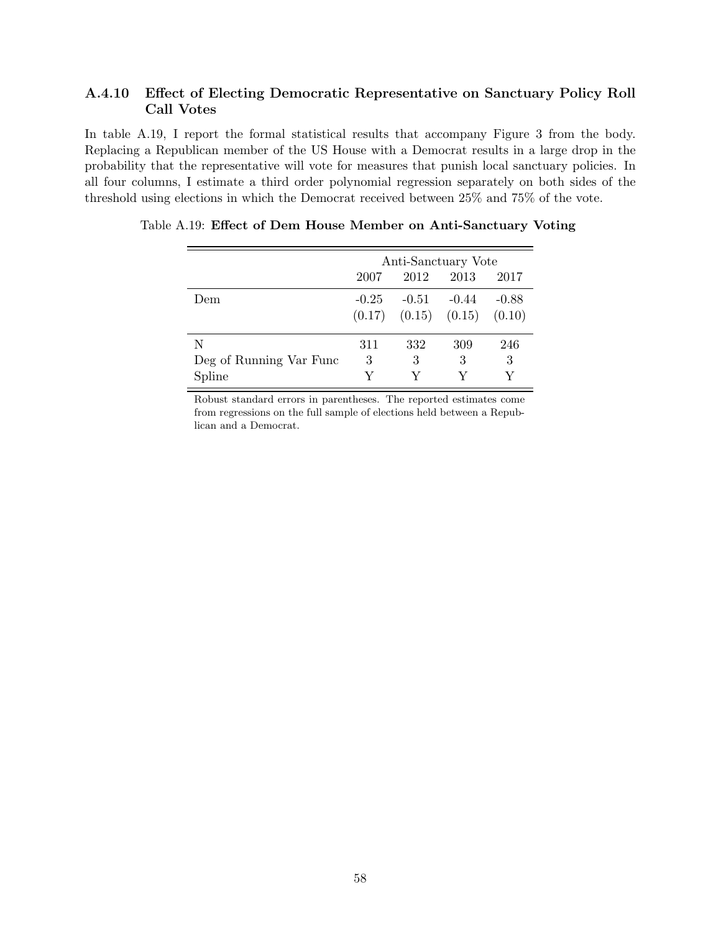#### A.4.10 Effect of Electing Democratic Representative on Sanctuary Policy Roll Call Votes

In table A.19, I report the formal statistical results that accompany Figure 3 from the body. Replacing a Republican member of the US House with a Democrat results in a large drop in the probability that the representative will vote for measures that punish local sanctuary policies. In all four columns, I estimate a third order polynomial regression separately on both sides of the threshold using elections in which the Democrat received between 25% and 75% of the vote.

|                         | Anti-Sanctuary Vote          |                            |         |         |  |  |  |
|-------------------------|------------------------------|----------------------------|---------|---------|--|--|--|
|                         | 2012<br>2013<br>2017<br>2007 |                            |         |         |  |  |  |
| Dem                     | $-0.25$                      | $-0.51$                    | $-0.44$ | $-0.88$ |  |  |  |
|                         |                              | $(0.17)$ $(0.15)$ $(0.15)$ |         | (0.10)  |  |  |  |
| N                       | 311                          | 332                        | 309     | 246     |  |  |  |
| Deg of Running Var Func | 3                            | 3                          | 3       | 3       |  |  |  |
| Spline                  |                              |                            |         |         |  |  |  |

Table A.19: Effect of Dem House Member on Anti-Sanctuary Voting

Robust standard errors in parentheses. The reported estimates come from regressions on the full sample of elections held between a Republican and a Democrat.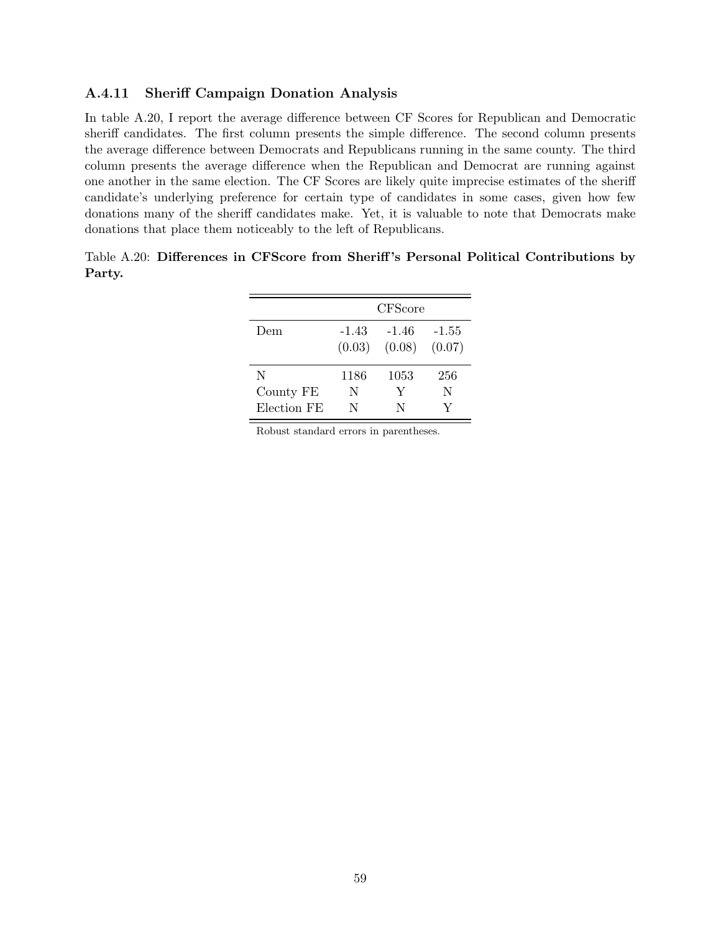#### A.4.11 Sheriff Campaign Donation Analysis

In table A.20, I report the average difference between CF Scores for Republican and Democratic sheriff candidates. The first column presents the simple difference. The second column presents the average difference between Democrats and Republicans running in the same county. The third column presents the average difference when the Republican and Democrat are running against one another in the same election. The CF Scores are likely quite imprecise estimates of the sheriff candidate's underlying preference for certain type of candidates in some cases, given how few donations many of the sheriff candidates make. Yet, it is valuable to note that Democrats make donations that place them noticeably to the left of Republicans.

|        |  |  |  | Table A.20: Differences in CFScore from Sheriff's Personal Political Contributions by |  |
|--------|--|--|--|---------------------------------------------------------------------------------------|--|
| Party. |  |  |  |                                                                                       |  |
|        |  |  |  |                                                                                       |  |

|             | <b>CFScore</b>    |                 |                   |  |  |  |  |  |
|-------------|-------------------|-----------------|-------------------|--|--|--|--|--|
| Dem         | $-1.43$<br>(0.03) | -1.46<br>(0.08) | $-1.55$<br>(0.07) |  |  |  |  |  |
| N           | 1186              | 1053            | 256               |  |  |  |  |  |
| County FE   | N                 | Y               | N                 |  |  |  |  |  |
| Election FE | N                 | N               |                   |  |  |  |  |  |

Robust standard errors in parentheses.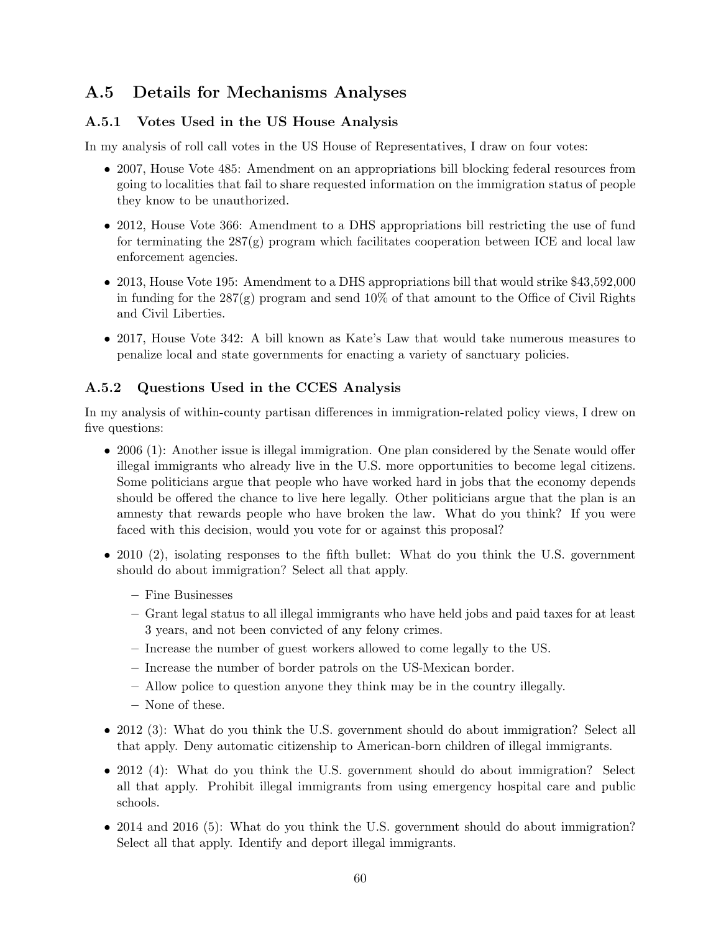# A.5 Details for Mechanisms Analyses

# A.5.1 Votes Used in the US House Analysis

In my analysis of roll call votes in the US House of Representatives, I draw on four votes:

- 2007, House Vote 485: Amendment on an appropriations bill blocking federal resources from going to localities that fail to share requested information on the immigration status of people they know to be unauthorized.
- 2012, House Vote 366: Amendment to a DHS appropriations bill restricting the use of fund for terminating the  $287(g)$  program which facilitates cooperation between ICE and local law enforcement agencies.
- 2013, House Vote 195: Amendment to a DHS appropriations bill that would strike \$43,592,000 in funding for the  $287(g)$  program and send  $10\%$  of that amount to the Office of Civil Rights and Civil Liberties.
- 2017. House Vote 342: A bill known as Kate's Law that would take numerous measures to penalize local and state governments for enacting a variety of sanctuary policies.

### A.5.2 Questions Used in the CCES Analysis

In my analysis of within-county partisan differences in immigration-related policy views, I drew on five questions:

- 2006 (1): Another issue is illegal immigration. One plan considered by the Senate would offer illegal immigrants who already live in the U.S. more opportunities to become legal citizens. Some politicians argue that people who have worked hard in jobs that the economy depends should be offered the chance to live here legally. Other politicians argue that the plan is an amnesty that rewards people who have broken the law. What do you think? If you were faced with this decision, would you vote for or against this proposal?
- 2010 (2), isolating responses to the fifth bullet: What do you think the U.S. government should do about immigration? Select all that apply.
	- Fine Businesses
	- Grant legal status to all illegal immigrants who have held jobs and paid taxes for at least 3 years, and not been convicted of any felony crimes.
	- Increase the number of guest workers allowed to come legally to the US.
	- Increase the number of border patrols on the US-Mexican border.
	- Allow police to question anyone they think may be in the country illegally.
	- None of these.
- 2012 (3): What do you think the U.S. government should do about immigration? Select all that apply. Deny automatic citizenship to American-born children of illegal immigrants.
- 2012 (4): What do you think the U.S. government should do about immigration? Select all that apply. Prohibit illegal immigrants from using emergency hospital care and public schools.
- 2014 and 2016 (5): What do you think the U.S. government should do about immigration? Select all that apply. Identify and deport illegal immigrants.